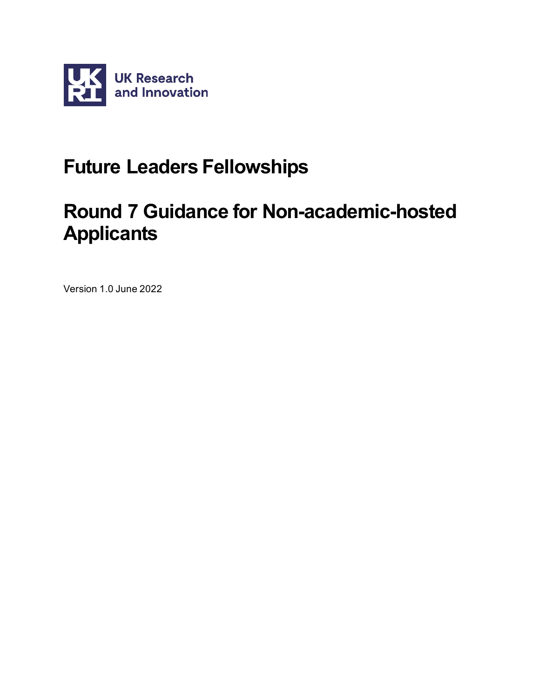

# **Future Leaders Fellowships**

# **Round 7 Guidance for Non-academic-hosted Applicants**

Version 1.0 June 2022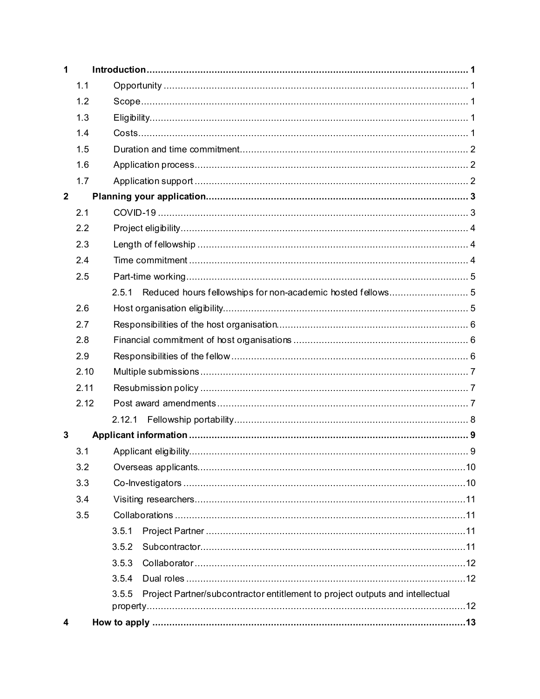| 1              |      |                                                                                        |  |  |
|----------------|------|----------------------------------------------------------------------------------------|--|--|
|                | 1.1  |                                                                                        |  |  |
|                | 1.2  |                                                                                        |  |  |
|                | 1.3  |                                                                                        |  |  |
|                | 1.4  |                                                                                        |  |  |
|                | 1.5  |                                                                                        |  |  |
|                | 1.6  |                                                                                        |  |  |
|                | 1.7  |                                                                                        |  |  |
| $\overline{2}$ |      |                                                                                        |  |  |
|                | 2.1  |                                                                                        |  |  |
|                | 2.2  |                                                                                        |  |  |
|                | 2.3  |                                                                                        |  |  |
|                | 2.4  |                                                                                        |  |  |
|                | 2.5  |                                                                                        |  |  |
|                |      | 2.5.1                                                                                  |  |  |
|                | 2.6  |                                                                                        |  |  |
|                | 2.7  |                                                                                        |  |  |
|                | 2.8  |                                                                                        |  |  |
|                | 2.9  |                                                                                        |  |  |
|                | 2.10 |                                                                                        |  |  |
|                | 2.11 |                                                                                        |  |  |
|                | 2.12 |                                                                                        |  |  |
|                |      | 2.12.1                                                                                 |  |  |
| 3              |      |                                                                                        |  |  |
|                | 3.1  |                                                                                        |  |  |
|                | 3.2  |                                                                                        |  |  |
|                | 3.3  |                                                                                        |  |  |
|                | 3.4  |                                                                                        |  |  |
|                | 3.5  |                                                                                        |  |  |
|                |      | 3.5.1                                                                                  |  |  |
|                |      | 3.5.2                                                                                  |  |  |
|                |      | 3.5.3                                                                                  |  |  |
|                |      | 3.5.4                                                                                  |  |  |
|                |      | Project Partner/subcontractor entitlement to project outputs and intellectual<br>3.5.5 |  |  |
|                |      |                                                                                        |  |  |
| 4              |      |                                                                                        |  |  |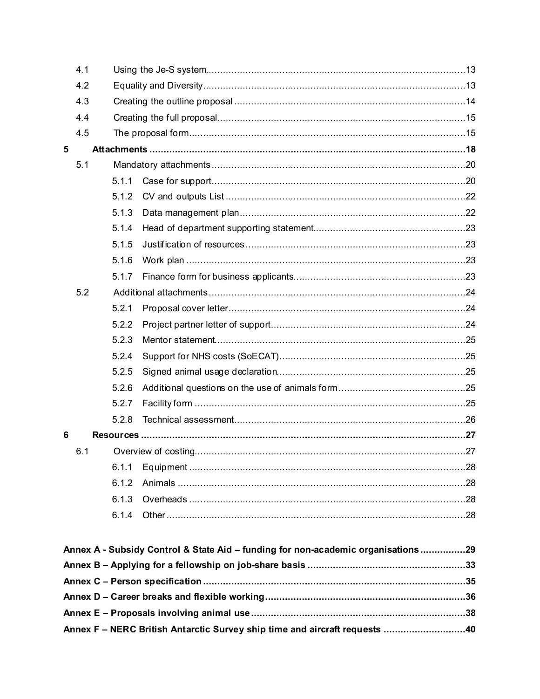|   | 4.1 |       |                                                                                  |  |
|---|-----|-------|----------------------------------------------------------------------------------|--|
|   | 4.2 |       |                                                                                  |  |
|   | 4.3 |       |                                                                                  |  |
|   | 4.4 |       |                                                                                  |  |
|   | 4.5 |       |                                                                                  |  |
| 5 |     |       |                                                                                  |  |
|   | 5.1 |       |                                                                                  |  |
|   |     | 5.1.1 |                                                                                  |  |
|   |     | 5.1.2 |                                                                                  |  |
|   |     | 5.1.3 |                                                                                  |  |
|   |     | 5.1.4 |                                                                                  |  |
|   |     | 5.1.5 |                                                                                  |  |
|   |     | 5.1.6 |                                                                                  |  |
|   |     | 5.1.7 |                                                                                  |  |
|   | 5.2 |       |                                                                                  |  |
|   |     | 5.2.1 |                                                                                  |  |
|   |     | 5.2.2 |                                                                                  |  |
|   |     | 5.2.3 |                                                                                  |  |
|   |     | 5.2.4 |                                                                                  |  |
|   |     | 5.2.5 |                                                                                  |  |
|   |     | 5.2.6 |                                                                                  |  |
|   |     | 5.2.7 |                                                                                  |  |
|   |     | 5.2.8 |                                                                                  |  |
| 6 |     |       |                                                                                  |  |
|   | 6.1 |       |                                                                                  |  |
|   |     | 6.1.1 |                                                                                  |  |
|   |     | 6.1.2 |                                                                                  |  |
|   |     | 6.1.3 |                                                                                  |  |
|   |     | 6.1.4 |                                                                                  |  |
|   |     |       |                                                                                  |  |
|   |     |       | Annex A - Subsidy Control & State Aid - funding for non-academic organisations29 |  |

| Annex F - NERC British Antarctic Survey ship time and aircraft requests 40 |  |
|----------------------------------------------------------------------------|--|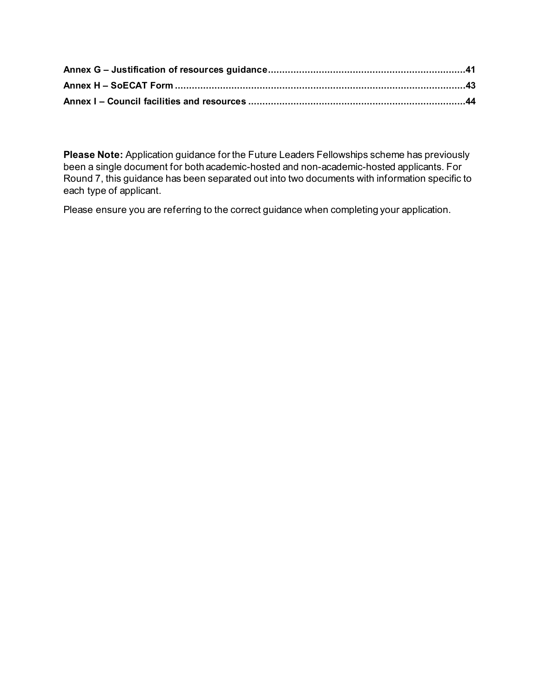**Please Note:** Application guidance for the Future Leaders Fellowships scheme has previously been a single document for both academic-hosted and non-academic-hosted applicants. For Round 7, this guidance has been separated out into two documents with information specific to each type of applicant.

Please ensure you are referring to the correct guidance when completing your application.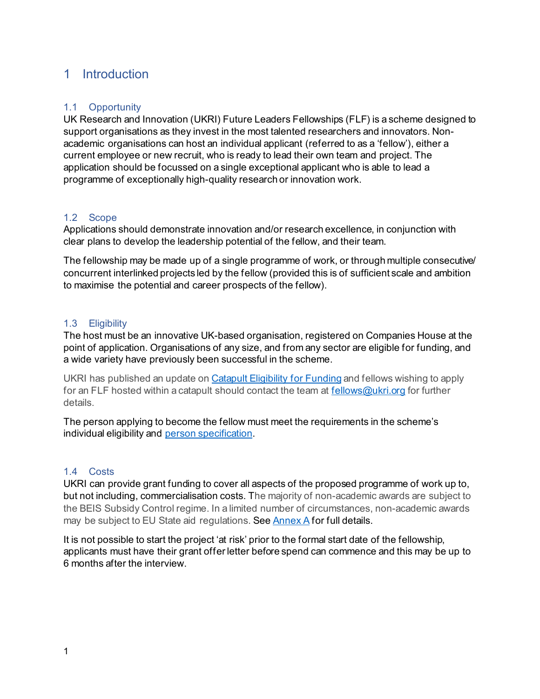# <span id="page-4-0"></span>1 Introduction

# <span id="page-4-1"></span>1.1 Opportunity

UK Research and Innovation (UKRI) Future Leaders Fellowships (FLF) is a scheme designed to support organisations as they invest in the most talented researchers and innovators. Nonacademic organisations can host an individual applicant (referred to as a 'fellow'), either a current employee or new recruit, who is ready to lead their own team and project. The application should be focussed on a single exceptional applicant who is able to lead a programme of exceptionally high-quality research or innovation work.

#### <span id="page-4-2"></span>1.2 Scope

Applications should demonstrate innovation and/or research excellence, in conjunction with clear plans to develop the leadership potential of the fellow, and their team.

The fellowship may be made up of a single programme of work, or through multiple consecutive/ concurrent interlinked projects led by the fellow (provided this is of sufficient scale and ambition to maximise the potential and career prospects of the fellow).

# <span id="page-4-3"></span>1.3 Eligibility

The host must be an innovative UK-based organisation, registered on Companies House at the point of application. Organisations of any size, and from any sector are eligible for funding, and a wide variety have previously been successful in the scheme.

UKRI has published an update o[n Catapult Eligibility for Funding](https://www.ukri.org/news/catapult-eligibility-for-funding/) and fellows wishing to apply for an FLF hosted within a catapult should contact the team at [fellows@ukri.org](mailto:fellows@ukri.org) for further details.

The person applying to become the fellow must meet the requirements in the scheme's individual eligibility and [person specificat](https://www.ukri.org/wp-content/uploads/2020/10/UKRI-28102020-Individual-Eligibility-and-Person-Specification-September-2020-2.pdf)ion.

#### <span id="page-4-4"></span>1.4 Costs

UKRI can provide grant funding to cover all aspects of the proposed programme of work up to, but not including, commercialisation costs. The majority of non-academic awards are subject to the BEIS Subsidy Control regime. In a limited number of circumstances, non-academic awards may be subject to EU State aid regulations. See Annex A for full details.

It is not possible to start the project 'at risk' prior to the formal start date of the fellowship, applicants must have their grant offer letter before spend can commence and this may be up to 6 months after the interview.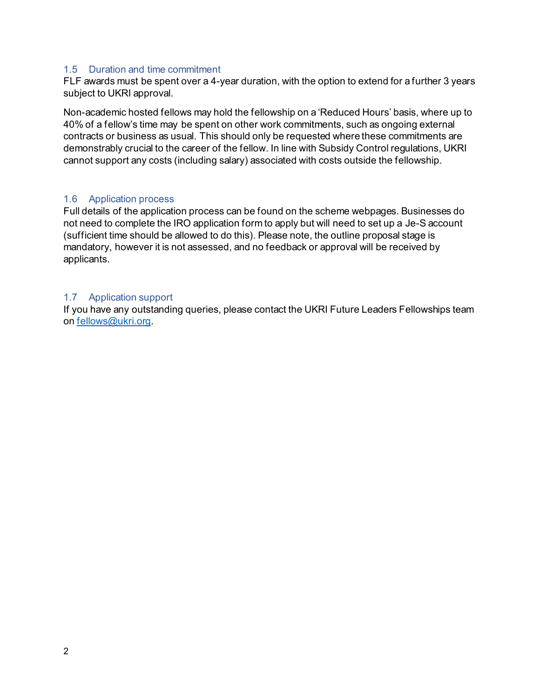#### <span id="page-5-0"></span>1.5 Duration and time commitment

FLF awards must be spent over a 4-year duration, with the option to extend for a further 3 years subject to UKRI approval.

Non-academic hosted fellows may hold the fellowship on a 'Reduced Hours' basis, where up to 40% of a fellow's time may be spent on other work commitments, such as ongoing external contracts or business as usual. This should only be requested where these commitments are demonstrably crucial to the career of the fellow. In line with Subsidy Control regulations, UKRI cannot support any costs (including salary) associated with costs outside the fellowship.

#### <span id="page-5-1"></span>1.6 Application process

Full details of the application process can be found on the scheme webpages. Businesses do not need to complete the IRO application form to apply but will need to set up a Je-S account (sufficient time should be allowed to do this). Please note, the outline proposal stage is mandatory, however it is not assessed, and no feedback or approval will be received by applicants.

#### <span id="page-5-2"></span>1.7 Application support

If you have any outstanding queries, please contact the UKRI Future Leaders Fellowships team on [fellows@ukri.org](mailto:fellows@ukri.org).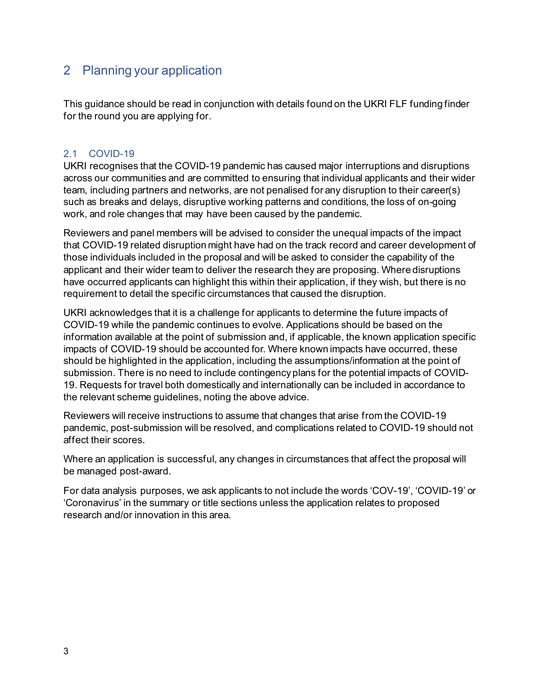# <span id="page-6-0"></span>2 Planning your application

This guidance should be read in conjunction with details found on the UKRI FLF funding finder for the round you are applying for.

# <span id="page-6-1"></span>2.1 COVID-19

UKRI recognises that the COVID-19 pandemic has caused major interruptions and disruptions across our communities and are committed to ensuring that individual applicants and their wider team, including partners and networks, are not penalised for any disruption to their career(s) such as breaks and delays, disruptive working patterns and conditions, the loss of on-going work, and role changes that may have been caused by the pandemic.

Reviewers and panel members will be advised to consider the unequal impacts of the impact that COVID-19 related disruption might have had on the track record and career development of those individuals included in the proposal and will be asked to consider the capability of the applicant and their wider team to deliver the research they are proposing. Where disruptions have occurred applicants can highlight this within their application, if they wish, but there is no requirement to detail the specific circumstances that caused the disruption.

UKRI acknowledges that it is a challenge for applicants to determine the future impacts of COVID-19 while the pandemic continues to evolve. Applications should be based on the information available at the point of submission and, if applicable, the known application specific impacts of COVID-19 should be accounted for. Where known impacts have occurred, these should be highlighted in the application, including the assumptions/information at the point of submission. There is no need to include contingency plans for the potential impacts of COVID-19. Requests for travel both domestically and internationally can be included in accordance to the relevant scheme guidelines, noting the above advice.

Reviewers will receive instructions to assume that changes that arise from the COVID-19 pandemic, post-submission will be resolved, and complications related to COVID-19 should not affect their scores.

Where an application is successful, any changes in circumstances that affect the proposal will be managed post-award.

For data analysis purposes, we ask applicants to not include the words 'COV-19', 'COVID-19' or 'Coronavirus' in the summary or title sections unless the application relates to proposed research and/or innovation in this area.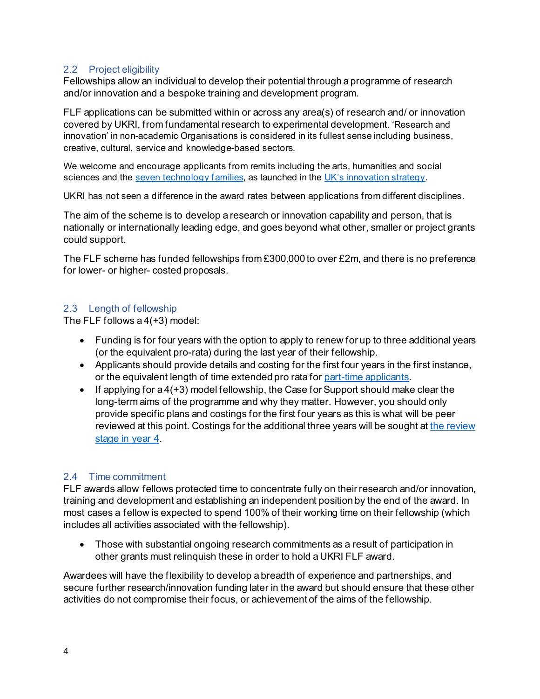# <span id="page-7-0"></span>2.2 Project eligibility

Fellowships allow an individual to develop their potential through a programme of research and/or innovation and a bespoke training and development program.

FLF applications can be submitted within or across any area(s) of research and/ or innovation covered by UKRI, from fundamental research to experimental development. 'Research and innovation' in non-academic Organisations is considered in its fullest sense including business, creative, cultural, service and knowledge-based sectors.

We welcome and encourage applicants from remits including the arts, humanities and social sciences and the [seven technology families,](https://www.ukri.org/blog/the-other-magnificent-seven/) as launched in the [UK's innovation strategy.](https://gbr01.safelinks.protection.outlook.com/?url=https%3A%2F%2Fwww.gov.uk%2Fgovernment%2Fpublications%2Fuk-innovation-strategy-leading-the-future-by-creating-it&data=05%7C01%7CMartin.French%40ukri.org%7Cbdb8b192c5cc4a311ca908da371345f0%7C8bb7e08edaa44a8e927efca38db04b7e%7C0%7C0%7C637882853150285414%7CUnknown%7CTWFpbGZsb3d8eyJWIjoiMC4wLjAwMDAiLCJQIjoiV2luMzIiLCJBTiI6Ik1haWwiLCJXVCI6Mn0%3D%7C3000%7C%7C%7C&sdata=RVThrJzLgB4%2BSU2HkkLgIQr%2B%2F59QdoQJf%2FFSh3oAIbU%3D&reserved=0)

UKRI has not seen a difference in the award rates between applications from different disciplines.

The aim of the scheme is to develop a research or innovation capability and person, that is nationally or internationally leading edge, and goes beyond what other, smaller or project grants could support.

The FLF scheme has funded fellowships from £300,000 to over £2m, and there is no preference for lower- or higher- costed proposals.

# <span id="page-7-1"></span>2.3 Length of fellowship

The FLF follows a 4(+3) model:

- Funding is for four years with the option to apply to renew for up to three additional years (or the equivalent pro-rata) during the last year of their fellowship.
- Applicants should provide details and costing for the first four years in the first instance, or the equivalent length of time extended pro rata for part-time applicants.
- If applying for a  $4(+3)$  model fellowship, the Case for Support should make clear the long-term aims of the programme and why they matter. However, you should only provide specific plans and costings for the first four years as this is what will be peer reviewed at this point. Costings for the additional three years will be sought at the review [stage in year 4.](https://www.ukri.org/what-we-offer/developing-people-and-skills/future-leaders-fellowships/future-leaders-fellowships-guidance/renewal-scheme-for-current-future-leaders-fellows/)

# <span id="page-7-2"></span>2.4 Time commitment

FLF awards allow fellows protected time to concentrate fully on their research and/or innovation, training and development and establishing an independent position by the end of the award. In most cases a fellow is expected to spend 100% of their working time on their fellowship (which includes all activities associated with the fellowship).

• Those with substantial ongoing research commitments as a result of participation in other grants must relinquish these in order to hold a UKRI FLF award.

Awardees will have the flexibility to develop a breadth of experience and partnerships, and secure further research/innovation funding later in the award but should ensure that these other activities do not compromise their focus, or achievement of the aims of the fellowship.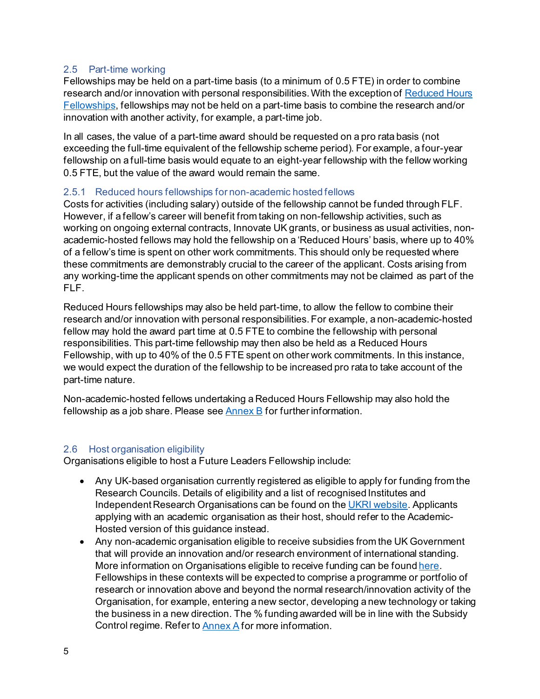## <span id="page-8-0"></span>2.5 Part-time working

Fellowships may be held on a part-time basis (to a minimum of 0.5 FTE) in order to combine research and/or innovation with personal responsibilities. With the exception o[f Reduced Hours](#page-8-0)  [Fellowships,](#page-8-0) fellowships may not be held on a part-time basis to combine the research and/or innovation with another activity, for example, a part-time job.

In all cases, the value of a part-time award should be requested on a pro rata basis (not exceeding the full-time equivalent of the fellowship scheme period). For example, a four-year fellowship on a full-time basis would equate to an eight-year fellowship with the fellow working 0.5 FTE, but the value of the award would remain the same.

# <span id="page-8-1"></span>2.5.1 Reduced hours fellowships for non-academic hosted fellows

Costs for activities (including salary) outside of the fellowship cannot be funded through FLF. However, if a fellow's career will benefit from taking on non-fellowship activities, such as working on ongoing external contracts, Innovate UK grants, or business as usual activities, nonacademic-hosted fellows may hold the fellowship on a 'Reduced Hours' basis, where up to 40% of a fellow's time is spent on other work commitments. This should only be requested where these commitments are demonstrably crucial to the career of the applicant. Costs arising from any working-time the applicant spends on other commitments may not be claimed as part of the FLF.

Reduced Hours fellowships may also be held part-time, to allow the fellow to combine their research and/or innovation with personal responsibilities. For example, a non-academic-hosted fellow may hold the award part time at 0.5 FTE to combine the fellowship with personal responsibilities. This part-time fellowship may then also be held as a Reduced Hours Fellowship, with up to 40% of the 0.5 FTE spent on other work commitments. In this instance, we would expect the duration of the fellowship to be increased pro rata to take account of the part-time nature.

Non-academic-hosted fellows undertaking a Reduced Hours Fellowship may also hold the fellowship as a job share. Please see  $\frac{\text{Annex}}{\text{B}}$  for further information.

#### <span id="page-8-2"></span>2.6 Host organisation eligibility

Organisations eligible to host a Future Leaders Fellowship include:

- Any UK-based organisation currently registered as eligible to apply for funding from the Research Councils. Details of eligibility and a list of recognised Institutes and Independent Research Organisations can be found on th[e UKRI website](https://www.ukri.org/apply-for-funding/before-you-apply/check-if-you-are-eligible-for-research-and-innovation-funding/). Applicants applying with an academic organisation as their host, should refer to the Academic-Hosted version of this guidance instead.
- Any non-academic organisation eligible to receive subsidies from the UK Government that will provide an innovation and/or research environment of international standing. More information on Organisations eligible to receive funding can be foun[d here](https://www.ukri.org/apply-for-funding/before-you-apply/check-if-you-are-eligible-for-research-and-innovation-funding/who-can-apply-for-funding/). Fellowships in these contexts will be expected to comprise a programme or portfolio of research or innovation above and beyond the normal research/innovation activity of the Organisation, for example, entering a new sector, developing a new technology or taking the business in a new direction. The % funding awarded will be in line with the Subsidy Control regime. Refer to  $\frac{\text{Annex}}{\text{A}}$  for more information.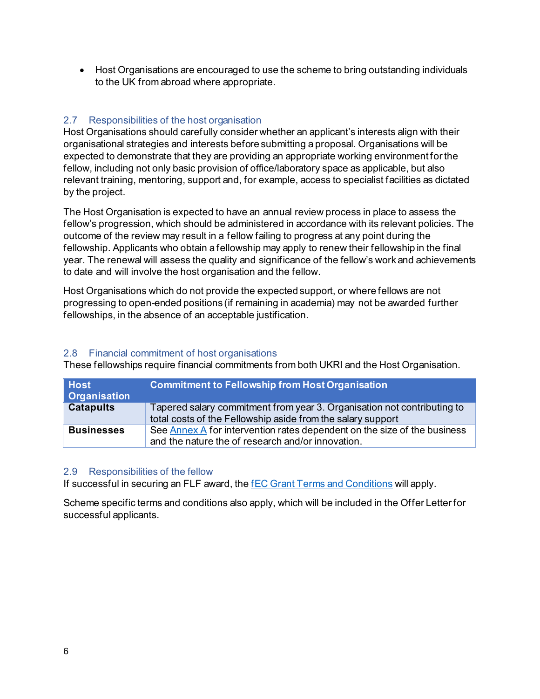• Host Organisations are encouraged to use the scheme to bring outstanding individuals to the UK from abroad where appropriate.

# <span id="page-9-0"></span>2.7 Responsibilities of the host organisation

Host Organisations should carefully consider whether an applicant's interests align with their organisational strategies and interests before submitting a proposal. Organisations will be expected to demonstrate that they are providing an appropriate working environment for the fellow, including not only basic provision of office/laboratory space as applicable, but also relevant training, mentoring, support and, for example, access to specialist facilities as dictated by the project.

The Host Organisation is expected to have an annual review process in place to assess the fellow's progression, which should be administered in accordance with its relevant policies. The outcome of the review may result in a fellow failing to progress at any point during the fellowship. Applicants who obtain a fellowship may apply to renew their fellowship in the final year. The renewal will assess the quality and significance of the fellow's work and achievements to date and will involve the host organisation and the fellow.

Host Organisations which do not provide the expected support, or where fellows are not progressing to open-ended positions (if remaining in academia) may not be awarded further fellowships, in the absence of an acceptable justification.

# <span id="page-9-1"></span>2.8 Financial commitment of host organisations

These fellowships require financial commitments from both UKRI and the Host Organisation.

| Host<br><b>Organisation</b> | <b>Commitment to Fellowship from Host Organisation</b>                                                                                                  |
|-----------------------------|---------------------------------------------------------------------------------------------------------------------------------------------------------|
| <b>Catapults</b>            | Tapered salary commitment from year 3. Organisation not contributing to<br>total costs of the Fellowship aside from the salary support                  |
| <b>Businesses</b>           | See $\frac{\text{Annex A}}{\text{A}}$ for intervention rates dependent on the size of the business<br>and the nature the of research and/or innovation. |

#### <span id="page-9-2"></span>2.9 Responsibilities of the fellow

If successful in securing an FLF award, th[e fEC Grant Terms and Conditions](https://www.ukri.org/manage-your-award/meeting-ukri-terms-and-conditions-for-funding/) will apply.

Scheme specific terms and conditions also apply, which will be included in the Offer Letter for successful applicants.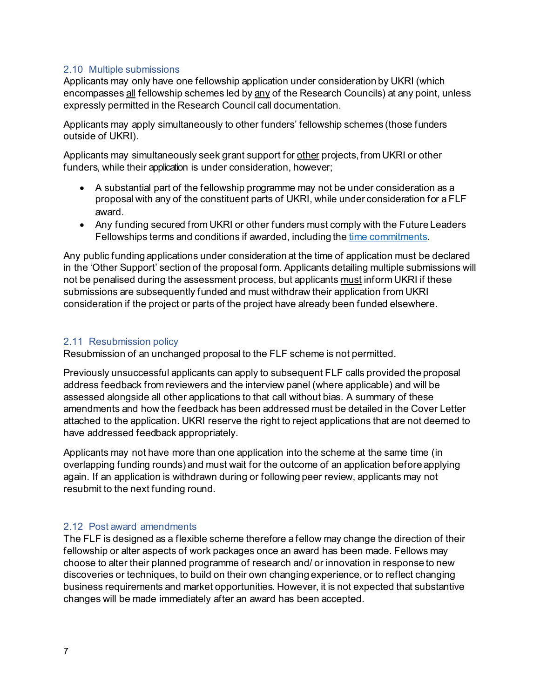#### <span id="page-10-0"></span>2.10 Multiple submissions

Applicants may only have one fellowship application under consideration by UKRI (which encompasses all fellowship schemes led by any of the Research Councils) at any point, unless expressly permitted in the Research Council call documentation.

Applicants may apply simultaneously to other funders' fellowship schemes (those funders outside of UKRI).

Applicants may simultaneously seek grant support for other projects, from UKRI or other funders, while their application is under consideration, however;

- A substantial part of the fellowship programme may not be under consideration as a proposal with any of the constituent parts of UKRI, while under consideration for a FLF award.
- Any funding secured from UKRI or other funders must comply with the Future Leaders Fellowships terms and conditions if awarded, including th[e time commitments.](#page-7-2)

Any public funding applications under consideration at the time of application must be declared in the 'Other Support' section of the proposal form. Applicants detailing multiple submissions will not be penalised during the assessment process, but applicants must inform UKRI if these submissions are subsequently funded and must withdraw their application from UKRI consideration if the project or parts of the project have already been funded elsewhere.

# <span id="page-10-1"></span>2.11 Resubmission policy

Resubmission of an unchanged proposal to the FLF scheme is not permitted.

Previously unsuccessful applicants can apply to subsequent FLF calls provided the proposal address feedback from reviewers and the interview panel (where applicable) and will be assessed alongside all other applications to that call without bias. A summary of these amendments and how the feedback has been addressed must be detailed in the Cover Letter attached to the application. UKRI reserve the right to reject applications that are not deemed to have addressed feedback appropriately.

Applicants may not have more than one application into the scheme at the same time (in overlapping funding rounds) and must wait for the outcome of an application before applying again. If an application is withdrawn during or following peer review, applicants may not resubmit to the next funding round.

# <span id="page-10-2"></span>2.12 Post award amendments

The FLF is designed as a flexible scheme therefore a fellow may change the direction of their fellowship or alter aspects of work packages once an award has been made. Fellows may choose to alter their planned programme of research and/ or innovation in response to new discoveries or techniques, to build on their own changing experience, or to reflect changing business requirements and market opportunities. However, it is not expected that substantive changes will be made immediately after an award has been accepted.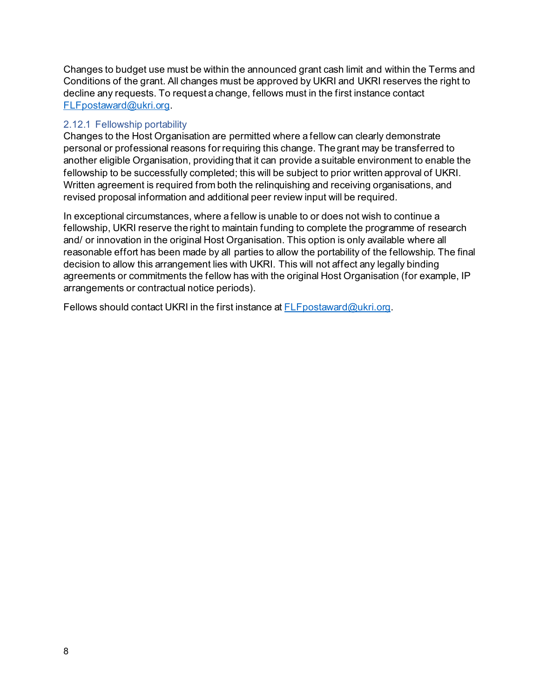Changes to budget use must be within the announced grant cash limit and within the Terms and Conditions of the grant. All changes must be approved by UKRI and UKRI reserves the right to decline any requests. To request a change, fellows must in the first instance contact [FLFpostaward@ukri.org](mailto:FLFpostaward@ukri.org).

# <span id="page-11-0"></span>2.12.1 Fellowship portability

Changes to the Host Organisation are permitted where a fellow can clearly demonstrate personal or professional reasons for requiring this change. The grant may be transferred to another eligible Organisation, providing that it can provide a suitable environment to enable the fellowship to be successfully completed; this will be subject to prior written approval of UKRI. Written agreement is required from both the relinquishing and receiving organisations, and revised proposal information and additional peer review input will be required.

In exceptional circumstances, where a fellow is unable to or does not wish to continue a fellowship, UKRI reserve the right to maintain funding to complete the programme of research and/ or innovation in the original Host Organisation. This option is only available where all reasonable effort has been made by all parties to allow the portability of the fellowship. The final decision to allow this arrangement lies with UKRI. This will not affect any legally binding agreements or commitments the fellow has with the original Host Organisation (for example, IP arrangements or contractual notice periods).

Fellows should contact UKRI in the first instance at [FLFpostaward@ukri.org](mailto:FLFpostaward@ukri.org).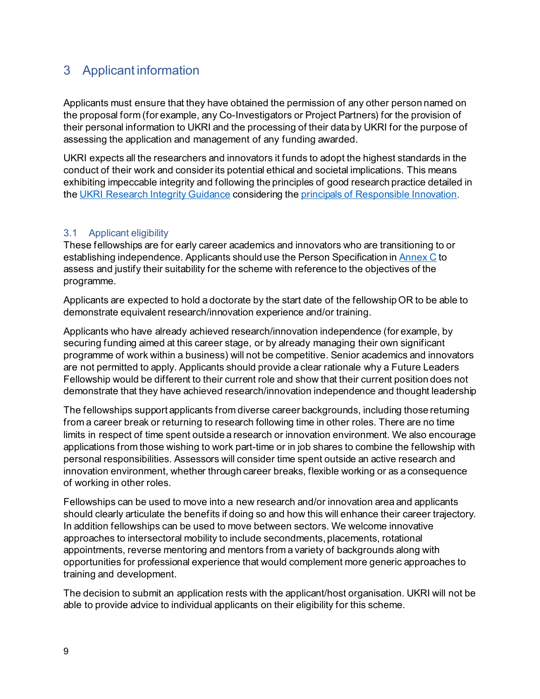# <span id="page-12-0"></span>3 Applicant information

Applicants must ensure that they have obtained the permission of any other person named on the proposal form (for example, any Co-Investigators or Project Partners) for the provision of their personal information to UKRI and the processing of their data by UKRI for the purpose of assessing the application and management of any funding awarded.

UKRI expects all the researchers and innovators it funds to adopt the highest standards in the conduct of their work and consider its potential ethical and societal implications. This means exhibiting impeccable integrity and following the principles of good research practice detailed in the [UKRI Research Integrity Guidance](https://www.ukri.org/about-us/policies-standards-and-data/good-research-resource-hub/research-integrity/) considering th[e principals of Responsible Innovation](https://gbr01.safelinks.protection.outlook.com/?url=https%3A%2F%2Fwww.ukri.org%2Fabout-us%2Fpolicies-standards-and-data%2Fgood-research-resource-hub%2Fresponsible-innovation%2F&data=05%7C01%7CRosanna.Peacock%40ukri.org%7C4766924d25bd412fcc0208da48634d3e%7C8bb7e08edaa44a8e927efca38db04b7e%7C0%7C0%7C637901888582589590%7CUnknown%7CTWFpbGZsb3d8eyJWIjoiMC4wLjAwMDAiLCJQIjoiV2luMzIiLCJBTiI6Ik1haWwiLCJXVCI6Mn0%3D%7C3000%7C%7C%7C&sdata=mlsCXeEpgVPhUzglX5v8hX7XzbqupevaokeBHLhv57o%3D&reserved=0).

# <span id="page-12-1"></span>3.1 Applicant eligibility

These fellowships are for early career academics and innovators who are transitioning to or establishing independence. Applicants should use the Person Specification in Annex C to assess and justify their suitability for the scheme with reference to the objectives of the programme.

Applicants are expected to hold a doctorate by the start date of the fellowship OR to be able to demonstrate equivalent research/innovation experience and/or training.

Applicants who have already achieved research/innovation independence (for example, by securing funding aimed at this career stage, or by already managing their own significant programme of work within a business) will not be competitive. Senior academics and innovators are not permitted to apply. Applicants should provide a clear rationale why a Future Leaders Fellowship would be different to their current role and show that their current position does not demonstrate that they have achieved research/innovation independence and thought leadership

The fellowships support applicants from diverse career backgrounds, including those returning from a career break or returning to research following time in other roles. There are no time limits in respect of time spent outside a research or innovation environment. We also encourage applications from those wishing to work part-time or in job shares to combine the fellowship with personal responsibilities. Assessors will consider time spent outside an active research and innovation environment, whether through career breaks, flexible working or as a consequence of working in other roles.

Fellowships can be used to move into a new research and/or innovation area and applicants should clearly articulate the benefits if doing so and how this will enhance their career trajectory. In addition fellowships can be used to move between sectors. We welcome innovative approaches to intersectoral mobility to include secondments, placements, rotational appointments, reverse mentoring and mentors from a variety of backgrounds along with opportunities for professional experience that would complement more generic approaches to training and development.

The decision to submit an application rests with the applicant/host organisation. UKRI will not be able to provide advice to individual applicants on their eligibility for this scheme.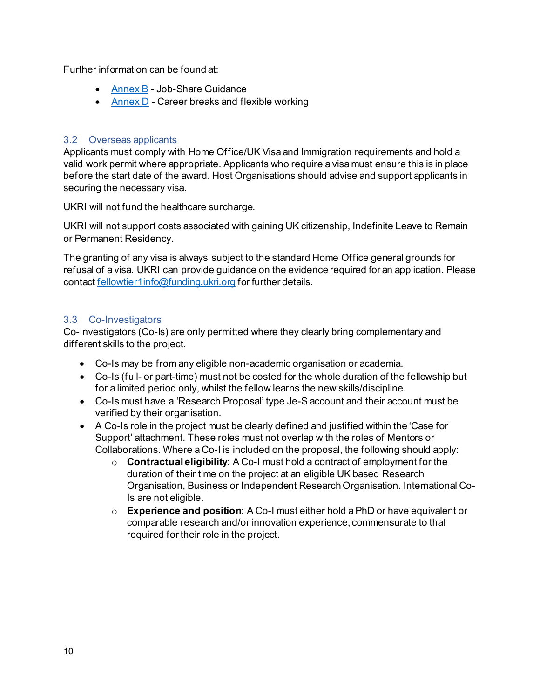Further information can be found at:

- [Annex B](#page-36-0) Job-Share Guidance
- [Annex D](#page-39-0) Career breaks and flexible working

# <span id="page-13-0"></span>3.2 Overseas applicants

Applicants must comply with Home Office/UK Visa and Immigration requirements and hold a valid work permit where appropriate. Applicants who require a visa must ensure this is in place before the start date of the award. Host Organisations should advise and support applicants in securing the necessary visa.

UKRI will not fund the healthcare surcharge.

UKRI will not support costs associated with gaining UK citizenship, Indefinite Leave to Remain or Permanent Residency.

The granting of any visa is always subject to the standard Home Office general grounds for refusal of a visa. UKRI can provide guidance on the evidence required for an application. Please contact [fellowtier1info@funding.ukri.org](mailto:fellowtier1info@funding.ukri.org) for further details.

# <span id="page-13-1"></span>3.3 Co-Investigators

Co-Investigators (Co-Is) are only permitted where they clearly bring complementary and different skills to the project.

- Co-Is may be from any eligible non-academic organisation or academia.
- Co-Is (full- or part-time) must not be costed for the whole duration of the fellowship but for a limited period only, whilst the fellow learns the new skills/discipline.
- Co-Is must have a 'Research Proposal' type Je-S account and their account must be verified by their organisation.
- A Co-Is role in the project must be clearly defined and justified within the 'Case for Support' attachment. These roles must not overlap with the roles of Mentors or Collaborations. Where a Co-I is included on the proposal, the following should apply:
	- o **Contractual eligibility:** A Co-I must hold a contract of employment for the duration of their time on the project at an eligible UK based Research Organisation, Business or Independent Research Organisation. International Co-Is are not eligible.
	- o **Experience and position:** A Co-I must either hold a PhD or have equivalent or comparable research and/or innovation experience, commensurate to that required for their role in the project.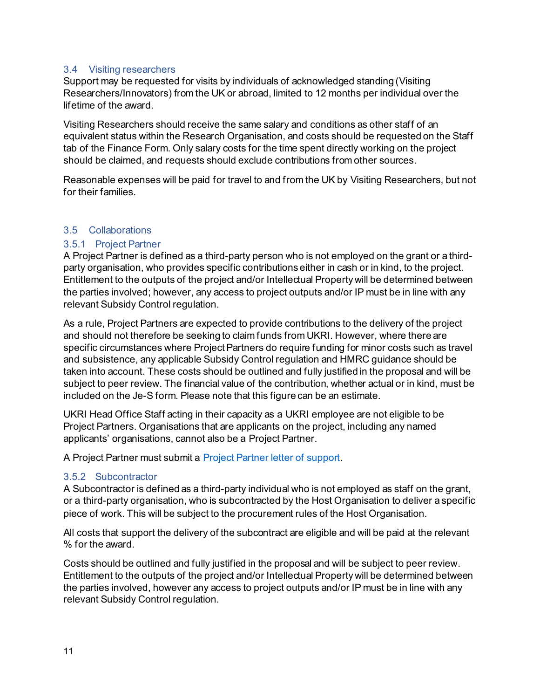#### <span id="page-14-0"></span>3.4 Visiting researchers

Support may be requested for visits by individuals of acknowledged standing (Visiting Researchers/Innovators) from the UK or abroad, limited to 12 months per individual over the lifetime of the award.

Visiting Researchers should receive the same salary and conditions as other staff of an equivalent status within the Research Organisation, and costs should be requested on the Staff tab of the Finance Form. Only salary costs for the time spent directly working on the project should be claimed, and requests should exclude contributions from other sources.

Reasonable expenses will be paid for travel to and from the UK by Visiting Researchers, but not for their families.

#### <span id="page-14-1"></span>3.5 Collaborations

#### <span id="page-14-2"></span>3.5.1 Project Partner

A Project Partner is defined as a third-party person who is not employed on the grant or a thirdparty organisation, who provides specific contributions either in cash or in kind, to the project. Entitlement to the outputs of the project and/or Intellectual Property will be determined between the parties involved; however, any access to project outputs and/or IP must be in line with any relevant Subsidy Control regulation.

As a rule, Project Partners are expected to provide contributions to the delivery of the project and should not therefore be seeking to claim funds from UKRI. However, where there are specific circumstances where Project Partners do require funding for minor costs such as travel and subsistence, any applicable Subsidy Control regulation and HMRC guidance should be taken into account. These costs should be outlined and fully justified in the proposal and will be subject to peer review. The financial value of the contribution, whether actual or in kind, must be included on the Je-S form. Please note that this figure can be an estimate.

UKRI Head Office Staff acting in their capacity as a UKRI employee are not eligible to be Project Partners. Organisations that are applicants on the project, including any named applicants' organisations, cannot also be a Project Partner.

A Project Partner must submit a Project Partner [letter of support](#page-27-2).

#### <span id="page-14-3"></span>3.5.2 Subcontractor

A Subcontractor is defined as a third-party individual who is not employed as staff on the grant, or a third-party organisation, who is subcontracted by the Host Organisation to deliver a specific piece of work. This will be subject to the procurement rules of the Host Organisation.

All costs that support the delivery of the subcontract are eligible and will be paid at the relevant % for the award.

Costs should be outlined and fully justified in the proposal and will be subject to peer review. Entitlement to the outputs of the project and/or Intellectual Property will be determined between the parties involved, however any access to project outputs and/or IP must be in line with any relevant Subsidy Control regulation.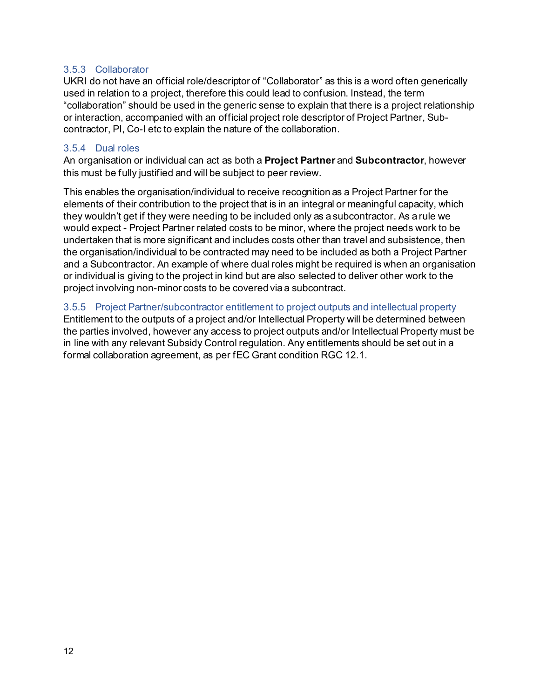#### <span id="page-15-0"></span>3.5.3 Collaborator

UKRI do not have an official role/descriptor of "Collaborator" as this is a word often generically used in relation to a project, therefore this could lead to confusion. Instead, the term "collaboration" should be used in the generic sense to explain that there is a project relationship or interaction, accompanied with an official project role descriptor of Project Partner, Subcontractor, PI, Co-I etc to explain the nature of the collaboration.

#### <span id="page-15-1"></span>3.5.4 Dual roles

An organisation or individual can act as both a **Project Partner** and **Subcontractor**, however this must be fully justified and will be subject to peer review.

This enables the organisation/individual to receive recognition as a Project Partner for the elements of their contribution to the project that is in an integral or meaningful capacity, which they wouldn't get if they were needing to be included only as a subcontractor. As a rule we would expect - Project Partner related costs to be minor, where the project needs work to be undertaken that is more significant and includes costs other than travel and subsistence, then the organisation/individual to be contracted may need to be included as both a Project Partner and a Subcontractor. An example of where dual roles might be required is when an organisation or individual is giving to the project in kind but are also selected to deliver other work to the project involving non-minor costs to be covered via a subcontract.

<span id="page-15-2"></span>3.5.5 Project Partner/subcontractor entitlement to project outputs and intellectual property

Entitlement to the outputs of a project and/or Intellectual Property will be determined between the parties involved, however any access to project outputs and/or Intellectual Property must be in line with any relevant Subsidy Control regulation. Any entitlements should be set out in a formal collaboration agreement, as per fEC Grant condition RGC 12.1.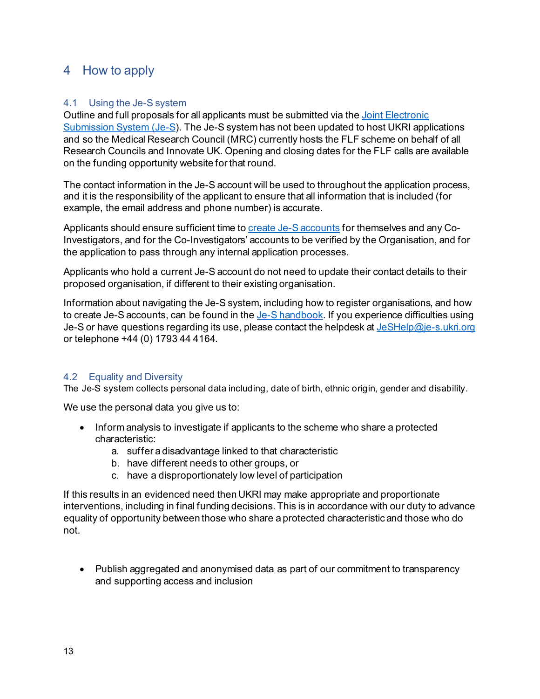# <span id="page-16-0"></span>4 How to apply

# <span id="page-16-1"></span>4.1 Using the Je-S system

Outline and full proposals for all applicants must be submitted via the [Joint Electronic](https://je-s.rcuk.ac.uk/)  [Submission System \(Je-S\)](https://je-s.rcuk.ac.uk/). The Je-S system has not been updated to host UKRI applications and so the Medical Research Council (MRC) currently hosts the FLF scheme on behalf of all Research Councils and Innovate UK. Opening and closing dates for the FLF calls are available on the funding opportunity website for that round.

The contact information in the Je-S account will be used to throughout the application process, and it is the responsibility of the applicant to ensure that all information that is included (for example, the email address and phone number) is accurate.

Applicants should ensure sufficient time t[o create Je-S accounts](https://je-s.rcuk.ac.uk/Handbook/pages/SettingupaJeSaccount/SettingupaJeSaccount.htm) for themselves and any Co-Investigators, and for the Co-Investigators' accounts to be verified by the Organisation, and for the application to pass through any internal application processes.

Applicants who hold a current Je-S account do not need to update their contact details to their proposed organisation, if different to their existing organisation.

Information about navigating the Je-S system, including how to register organisations, and how to create Je-S accounts, can be found in th[e Je-S handbook.](https://je-s.rcuk.ac.uk/Handbook/index.htm) If you experience difficulties using Je-S or have questions regarding its use, please contact the helpdesk a[t JeSHelp@je-s.ukri.org](mailto:JeSHelp@je-s.ukri.org) or telephone +44 (0) 1793 44 4164.

# <span id="page-16-2"></span>4.2 Equality and Diversity

The Je-S system collects personal data including, date of birth, ethnic origin, gender and disability.

We use the personal data you give us to:

- Inform analysis to investigate if applicants to the scheme who share a protected characteristic:
	- a. suffer a disadvantage linked to that characteristic
	- b. have different needs to other groups, or
	- c. have a disproportionately low level of participation

If this results in an evidenced need then UKRI may make appropriate and proportionate interventions, including in final funding decisions. This is in accordance with our duty to advance equality of opportunity between those who share a protected characteristic and those who do not.

• Publish aggregated and anonymised data as part of our commitment to transparency and supporting access and inclusion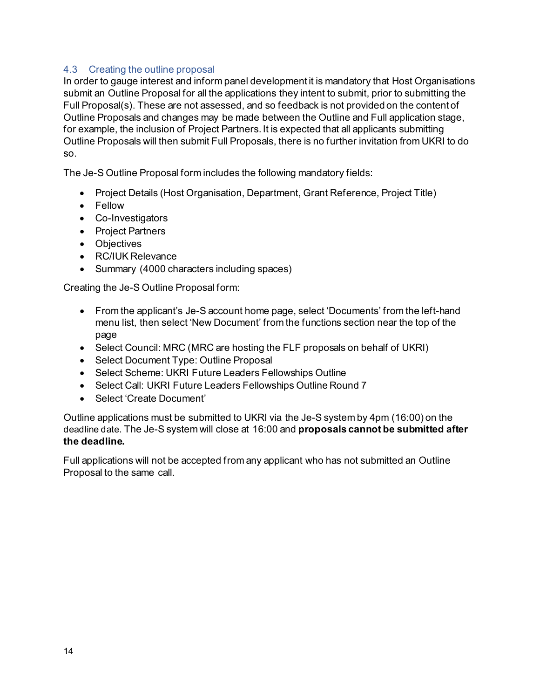# <span id="page-17-0"></span>4.3 Creating the outline proposal

In order to gauge interest and inform panel development it is mandatory that Host Organisations submit an Outline Proposal for all the applications they intent to submit, prior to submitting the Full Proposal(s). These are not assessed, and so feedback is not provided on the content of Outline Proposals and changes may be made between the Outline and Full application stage, for example, the inclusion of Project Partners. It is expected that all applicants submitting Outline Proposals will then submit Full Proposals, there is no further invitation from UKRI to do so.

The Je-S Outline Proposal form includes the following mandatory fields:

- Project Details (Host Organisation, Department, Grant Reference, Project Title)
- Fellow
- Co-Investigators
- Project Partners
- Objectives
- RC/IUK Relevance
- Summary (4000 characters including spaces)

Creating the Je-S Outline Proposal form:

- From the applicant's Je-S account home page, select 'Documents' from the left-hand menu list, then select 'New Document' from the functions section near the top of the page
- Select Council: MRC (MRC are hosting the FLF proposals on behalf of UKRI)
- Select Document Type: Outline Proposal
- Select Scheme: UKRI Future Leaders Fellowships Outline
- Select Call: UKRI Future Leaders Fellowships Outline Round 7
- Select 'Create Document'

Outline applications must be submitted to UKRI via the Je-S system by 4pm (16:00) on the deadline date. The Je-S system will close at 16:00 and **proposals cannot be submitted after the deadline.**

Full applications will not be accepted from any applicant who has not submitted an Outline Proposal to the same call.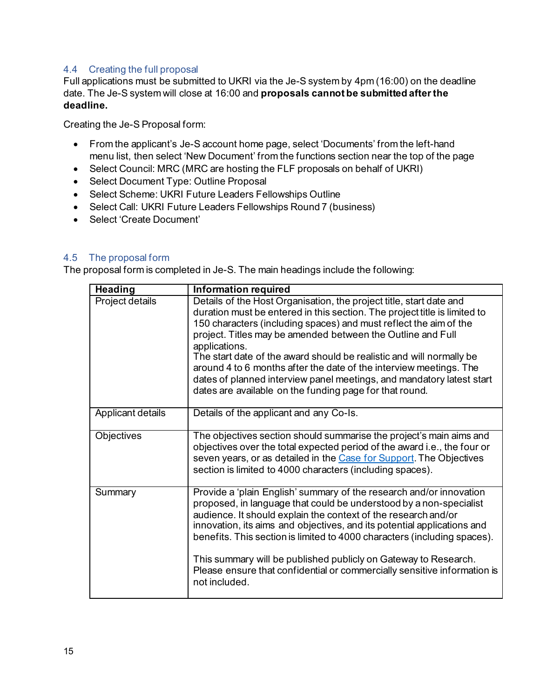# <span id="page-18-0"></span>4.4 Creating the full proposal

Full applications must be submitted to UKRI via the Je-S system by 4pm (16:00) on the deadline date. The Je-S system will close at 16:00 and **proposals cannot be submitted after the deadline.** 

Creating the Je-S Proposal form:

- From the applicant's Je-S account home page, select 'Documents' from the left-hand menu list, then select 'New Document' from the functions section near the top of the page
- Select Council: MRC (MRC are hosting the FLF proposals on behalf of UKRI)
- Select Document Type: Outline Proposal
- Select Scheme: UKRI Future Leaders Fellowships Outline
- Select Call: UKRI Future Leaders Fellowships Round 7 (business)
- Select 'Create Document'

# <span id="page-18-1"></span>4.5 The proposal form

The proposal form is completed in Je-S. The main headings include the following:

| <b>Information required</b>                                                                                                                                                                                                                                                                                                                                                                                                                                                                                                                                                             |  |  |  |
|-----------------------------------------------------------------------------------------------------------------------------------------------------------------------------------------------------------------------------------------------------------------------------------------------------------------------------------------------------------------------------------------------------------------------------------------------------------------------------------------------------------------------------------------------------------------------------------------|--|--|--|
| Details of the Host Organisation, the project title, start date and<br>duration must be entered in this section. The project title is limited to<br>150 characters (including spaces) and must reflect the aim of the<br>project. Titles may be amended between the Outline and Full<br>applications.<br>The start date of the award should be realistic and will normally be<br>around 4 to 6 months after the date of the interview meetings. The<br>dates of planned interview panel meetings, and mandatory latest start<br>dates are available on the funding page for that round. |  |  |  |
| Details of the applicant and any Co-Is.                                                                                                                                                                                                                                                                                                                                                                                                                                                                                                                                                 |  |  |  |
| The objectives section should summarise the project's main aims and<br>objectives over the total expected period of the award i.e., the four or<br>seven years, or as detailed in the Case for Support. The Objectives<br>section is limited to 4000 characters (including spaces).                                                                                                                                                                                                                                                                                                     |  |  |  |
| Provide a 'plain English' summary of the research and/or innovation<br>proposed, in language that could be understood by a non-specialist<br>audience. It should explain the context of the research and/or<br>innovation, its aims and objectives, and its potential applications and<br>benefits. This section is limited to 4000 characters (including spaces).<br>This summary will be published publicly on Gateway to Research.<br>Please ensure that confidential or commercially sensitive information is<br>not included.                                                      |  |  |  |
|                                                                                                                                                                                                                                                                                                                                                                                                                                                                                                                                                                                         |  |  |  |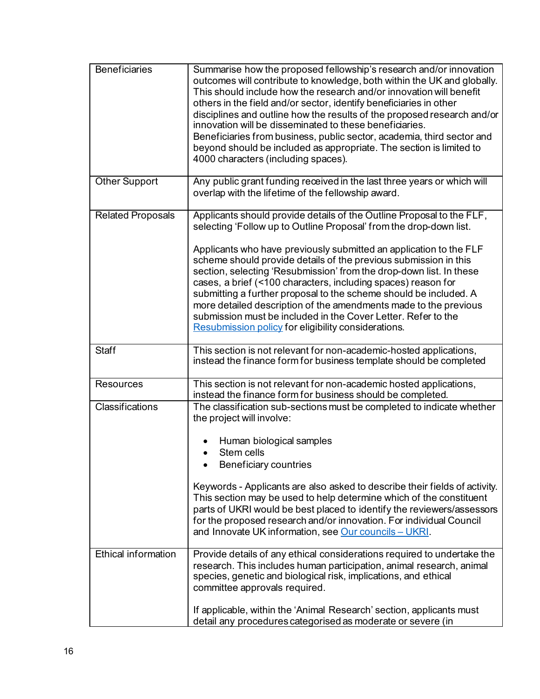| <b>Beneficiaries</b>       | Summarise how the proposed fellowship's research and/or innovation<br>outcomes will contribute to knowledge, both within the UK and globally.<br>This should include how the research and/or innovation will benefit<br>others in the field and/or sector, identify beneficiaries in other<br>disciplines and outline how the results of the proposed research and/or<br>innovation will be disseminated to these beneficiaries.<br>Beneficiaries from business, public sector, academia, third sector and<br>beyond should be included as appropriate. The section is limited to<br>4000 characters (including spaces).                                                                       |
|----------------------------|------------------------------------------------------------------------------------------------------------------------------------------------------------------------------------------------------------------------------------------------------------------------------------------------------------------------------------------------------------------------------------------------------------------------------------------------------------------------------------------------------------------------------------------------------------------------------------------------------------------------------------------------------------------------------------------------|
| <b>Other Support</b>       | Any public grant funding received in the last three years or which will<br>overlap with the lifetime of the fellowship award.                                                                                                                                                                                                                                                                                                                                                                                                                                                                                                                                                                  |
| <b>Related Proposals</b>   | Applicants should provide details of the Outline Proposal to the FLF,<br>selecting 'Follow up to Outline Proposal' from the drop-down list.<br>Applicants who have previously submitted an application to the FLF<br>scheme should provide details of the previous submission in this<br>section, selecting 'Resubmission' from the drop-down list. In these<br>cases, a brief (<100 characters, including spaces) reason for<br>submitting a further proposal to the scheme should be included. A<br>more detailed description of the amendments made to the previous<br>submission must be included in the Cover Letter. Refer to the<br>Resubmission policy for eligibility considerations. |
| <b>Staff</b>               | This section is not relevant for non-academic-hosted applications,<br>instead the finance form for business template should be completed                                                                                                                                                                                                                                                                                                                                                                                                                                                                                                                                                       |
| <b>Resources</b>           | This section is not relevant for non-academic hosted applications,<br>instead the finance form for business should be completed.                                                                                                                                                                                                                                                                                                                                                                                                                                                                                                                                                               |
| Classifications            | The classification sub-sections must be completed to indicate whether<br>the project will involve:<br>Human biological samples<br>Stem cells<br>Beneficiary countries<br>Keywords - Applicants are also asked to describe their fields of activity.<br>This section may be used to help determine which of the constituent<br>parts of UKRI would be best placed to identify the reviewers/assessors<br>for the proposed research and/or innovation. For individual Council<br>and Innovate UK information, see Our councils - UKRI.                                                                                                                                                           |
| <b>Ethical information</b> | Provide details of any ethical considerations required to undertake the<br>research. This includes human participation, animal research, animal<br>species, genetic and biological risk, implications, and ethical<br>committee approvals required.<br>If applicable, within the 'Animal Research' section, applicants must<br>detail any procedures categorised as moderate or severe (in                                                                                                                                                                                                                                                                                                     |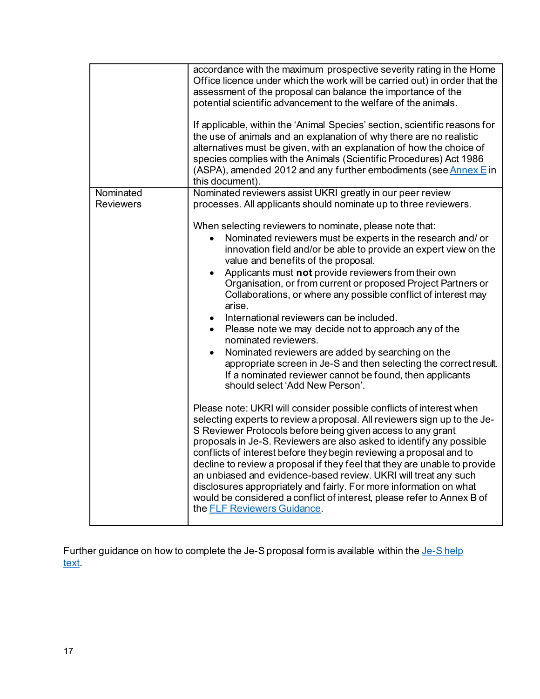|                  | accordance with the maximum prospective severity rating in the Home<br>Office licence under which the work will be carried out) in order that the<br>assessment of the proposal can balance the importance of the<br>potential scientific advancement to the welfare of the animals.<br>If applicable, within the 'Animal Species' section, scientific reasons for<br>the use of animals and an explanation of why there are no realistic<br>alternatives must be given, with an explanation of how the choice of<br>species complies with the Animals (Scientific Procedures) Act 1986<br>(ASPA), amended 2012 and any further embodiments (see Annex E in<br>this document). |
|------------------|--------------------------------------------------------------------------------------------------------------------------------------------------------------------------------------------------------------------------------------------------------------------------------------------------------------------------------------------------------------------------------------------------------------------------------------------------------------------------------------------------------------------------------------------------------------------------------------------------------------------------------------------------------------------------------|
| Nominated        | Nominated reviewers assist UKRI greatly in our peer review                                                                                                                                                                                                                                                                                                                                                                                                                                                                                                                                                                                                                     |
| <b>Reviewers</b> | processes. All applicants should nominate up to three reviewers.                                                                                                                                                                                                                                                                                                                                                                                                                                                                                                                                                                                                               |
|                  | When selecting reviewers to nominate, please note that:                                                                                                                                                                                                                                                                                                                                                                                                                                                                                                                                                                                                                        |
|                  | Nominated reviewers must be experts in the research and/or<br>$\bullet$                                                                                                                                                                                                                                                                                                                                                                                                                                                                                                                                                                                                        |
|                  | innovation field and/or be able to provide an expert view on the<br>value and benefits of the proposal.                                                                                                                                                                                                                                                                                                                                                                                                                                                                                                                                                                        |
|                  | Applicants must not provide reviewers from their own                                                                                                                                                                                                                                                                                                                                                                                                                                                                                                                                                                                                                           |
|                  | Organisation, or from current or proposed Project Partners or                                                                                                                                                                                                                                                                                                                                                                                                                                                                                                                                                                                                                  |
|                  | Collaborations, or where any possible conflict of interest may<br>arise.                                                                                                                                                                                                                                                                                                                                                                                                                                                                                                                                                                                                       |
|                  | International reviewers can be included.<br>$\bullet$                                                                                                                                                                                                                                                                                                                                                                                                                                                                                                                                                                                                                          |
|                  | Please note we may decide not to approach any of the<br>$\bullet$<br>nominated reviewers.                                                                                                                                                                                                                                                                                                                                                                                                                                                                                                                                                                                      |
|                  | Nominated reviewers are added by searching on the                                                                                                                                                                                                                                                                                                                                                                                                                                                                                                                                                                                                                              |
|                  | appropriate screen in Je-S and then selecting the correct result.<br>If a nominated reviewer cannot be found, then applicants<br>should select 'Add New Person'.                                                                                                                                                                                                                                                                                                                                                                                                                                                                                                               |
|                  | Please note: UKRI will consider possible conflicts of interest when                                                                                                                                                                                                                                                                                                                                                                                                                                                                                                                                                                                                            |
|                  | selecting experts to review a proposal. All reviewers sign up to the Je-                                                                                                                                                                                                                                                                                                                                                                                                                                                                                                                                                                                                       |
|                  | S Reviewer Protocols before being given access to any grant                                                                                                                                                                                                                                                                                                                                                                                                                                                                                                                                                                                                                    |
|                  | proposals in Je-S. Reviewers are also asked to identify any possible                                                                                                                                                                                                                                                                                                                                                                                                                                                                                                                                                                                                           |
|                  | conflicts of interest before they begin reviewing a proposal and to                                                                                                                                                                                                                                                                                                                                                                                                                                                                                                                                                                                                            |
|                  | decline to review a proposal if they feel that they are unable to provide                                                                                                                                                                                                                                                                                                                                                                                                                                                                                                                                                                                                      |
|                  | an unbiased and evidence-based review. UKRI will treat any such                                                                                                                                                                                                                                                                                                                                                                                                                                                                                                                                                                                                                |
|                  | disclosures appropriately and fairly. For more information on what                                                                                                                                                                                                                                                                                                                                                                                                                                                                                                                                                                                                             |
|                  | would be considered a conflict of interest, please refer to Annex B of<br>the <b>FLF</b> Reviewers Guidance.                                                                                                                                                                                                                                                                                                                                                                                                                                                                                                                                                                   |

Further guidance on how to complete the Je-S proposal form is available within the <u>Je-S help</u> [text.](https://je-s.rcuk.ac.uk/handbook/index.htm#t=pages%2FJeSHelpdesk.htm)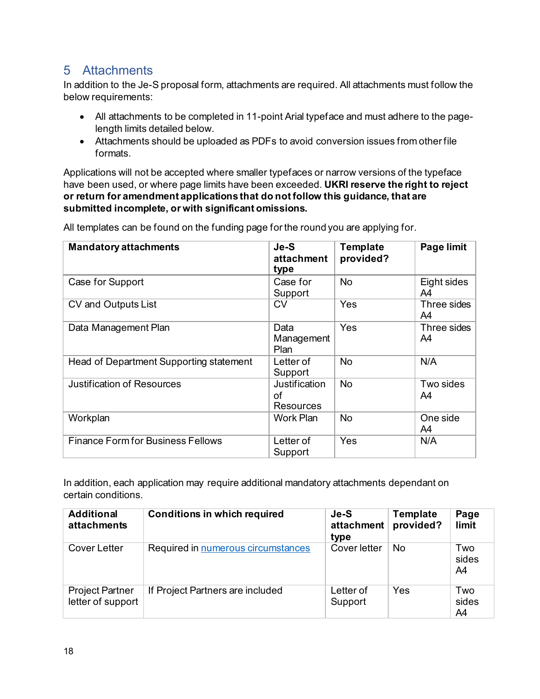# <span id="page-21-0"></span>5 Attachments

In addition to the Je-S proposal form, attachments are required. All attachments must follow the below requirements:

- All attachments to be completed in 11-point Arial typeface and must adhere to the pagelength limits detailed below.
- Attachments should be uploaded as PDFs to avoid conversion issues from other file formats.

Applications will not be accepted where smaller typefaces or narrow versions of the typeface have been used, or where page limits have been exceeded. **UKRI reserve the right to reject or return for amendment applications that do not follow this guidance, that are submitted incomplete, or with significant omissions.** 

| <b>Mandatory attachments</b>             | Je-S<br>attachment<br>type       | <b>Template</b><br>provided? | Page limit        |
|------------------------------------------|----------------------------------|------------------------------|-------------------|
| Case for Support                         | Case for<br>Support              | <b>No</b>                    | Eight sides<br>A4 |
| CV and Outputs List                      | <b>CV</b>                        | Yes                          | Three sides<br>A4 |
| Data Management Plan                     | Data<br>Management<br>Plan       | Yes                          | Three sides<br>A4 |
| Head of Department Supporting statement  | Letter of<br>Support             | <b>No</b>                    | N/A               |
| Justification of Resources               | Justification<br>οf<br>Resources | <b>No</b>                    | Two sides<br>A4   |
| Workplan                                 | <b>Work Plan</b>                 | <b>No</b>                    | One side<br>A4    |
| <b>Finance Form for Business Fellows</b> | Letter of<br>Support             | Yes                          | N/A               |

All templates can be found on the funding page for the round you are applying for.

In addition, each application may require additional mandatory attachments dependant on certain conditions.

| <b>Additional</b><br><b>attachments</b>     | <b>Conditions in which required</b> | Je-S<br>attachment<br>type | <b>Template</b><br>provided? | Page<br>limit      |
|---------------------------------------------|-------------------------------------|----------------------------|------------------------------|--------------------|
| Cover Letter                                | Required in numerous circumstances  | Cover letter               | No                           | Two<br>sides<br>A4 |
| <b>Project Partner</b><br>letter of support | If Project Partners are included    | Letter of<br>Support       | Yes                          | Two<br>sides<br>A4 |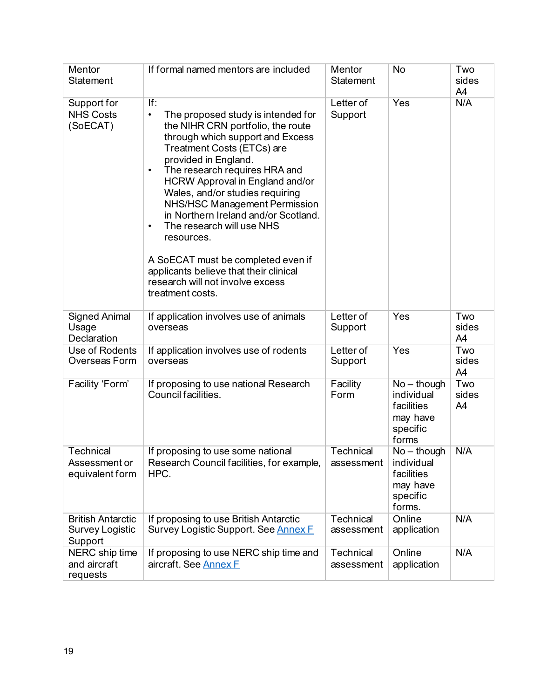| Mentor<br><b>Statement</b>                                    | If formal named mentors are included                                                                                                                                                                                                                                                                                                                                                                                                                                                                                                                                       | <b>Mentor</b><br>Statement | No                                                                          | Two<br>sides<br>A4             |
|---------------------------------------------------------------|----------------------------------------------------------------------------------------------------------------------------------------------------------------------------------------------------------------------------------------------------------------------------------------------------------------------------------------------------------------------------------------------------------------------------------------------------------------------------------------------------------------------------------------------------------------------------|----------------------------|-----------------------------------------------------------------------------|--------------------------------|
| Support for<br><b>NHS Costs</b><br>(SoECAT)                   | lf:<br>The proposed study is intended for<br>$\bullet$<br>the NIHR CRN portfolio, the route<br>through which support and Excess<br>Treatment Costs (ETCs) are<br>provided in England.<br>The research requires HRA and<br>٠<br>HCRW Approval in England and/or<br>Wales, and/or studies requiring<br>NHS/HSC Management Permission<br>in Northern Ireland and/or Scotland.<br>The research will use NHS<br>$\bullet$<br>resources.<br>A SoECAT must be completed even if<br>applicants believe that their clinical<br>research will not involve excess<br>treatment costs. | Letter of<br>Support       | Yes                                                                         | N/A                            |
| <b>Signed Animal</b><br>Usage<br>Declaration                  | If application involves use of animals<br>overseas                                                                                                                                                                                                                                                                                                                                                                                                                                                                                                                         | Letter of<br>Support       | Yes                                                                         | Two<br>sides<br>A4             |
| Use of Rodents<br>Overseas Form                               | If application involves use of rodents<br>overseas                                                                                                                                                                                                                                                                                                                                                                                                                                                                                                                         | Letter of<br>Support       | Yes                                                                         | Two<br>sides<br>A4             |
| Facility 'Form'                                               | If proposing to use national Research<br>Council facilities.                                                                                                                                                                                                                                                                                                                                                                                                                                                                                                               | Facility<br>Form           | $No - though$<br>individual<br>facilities<br>may have<br>specific<br>forms  | Two<br>sides<br>A <sup>4</sup> |
| <b>Technical</b><br>Assessment or<br>equivalent form          | If proposing to use some national<br>Research Council facilities, for example,<br>HPC.                                                                                                                                                                                                                                                                                                                                                                                                                                                                                     | Technical<br>assessment    | $No - though$<br>individual<br>facilities<br>may have<br>specific<br>forms. | N/A                            |
| <b>British Antarctic</b><br><b>Survey Logistic</b><br>Support | If proposing to use British Antarctic<br>Survey Logistic Support. See Annex F                                                                                                                                                                                                                                                                                                                                                                                                                                                                                              | Technical<br>assessment    | Online<br>application                                                       | N/A                            |
| NERC ship time<br>and aircraft<br>requests                    | If proposing to use NERC ship time and<br>aircraft. See Annex F                                                                                                                                                                                                                                                                                                                                                                                                                                                                                                            | Technical<br>assessment    | Online<br>application                                                       | N/A                            |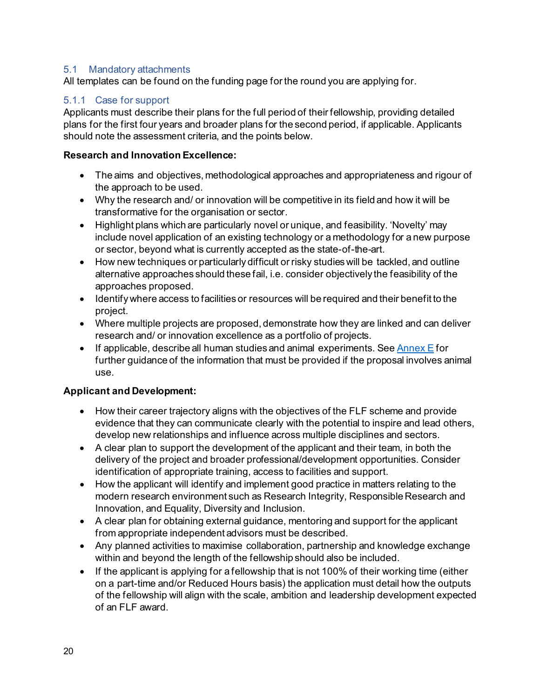# <span id="page-23-0"></span>5.1 Mandatory attachments

All templates can be found on the funding page for the round you are applying for.

# <span id="page-23-1"></span>5.1.1 Case for support

Applicants must describe their plans for the full period of their fellowship, providing detailed plans for the first four years and broader plans for the second period, if applicable. Applicants should note the assessment criteria, and the points below.

#### **Research and Innovation Excellence:**

- The aims and objectives, methodological approaches and appropriateness and rigour of the approach to be used.
- Why the research and/ or innovation will be competitive in its field and how it will be transformative for the organisation or sector.
- Highlight plans which are particularly novel or unique, and feasibility. 'Novelty' may include novel application of an existing technology or a methodology for a new purpose or sector, beyond what is currently accepted as the state-of-the-art.
- How new techniques or particularly difficult or risky studieswill be tackled, and outline alternative approaches should these fail, i.e. consider objectively the feasibility of the approaches proposed.
- Identifywhere access to facilities or resources will be required and their benefit to the project.
- Where multiple projects are proposed, demonstrate how they are linked and can deliver research and/ or innovation excellence as a portfolio of projects.
- $\bullet$  If applicable, describe all human studies and animal experiments. Se[e Annex E](#page-41-0) for further guidance of the information that must be provided if the proposal involves animal use.

# **Applicant and Development:**

- How their career trajectory aligns with the objectives of the FLF scheme and provide evidence that they can communicate clearly with the potential to inspire and lead others, develop new relationships and influence across multiple disciplines and sectors.
- A clear plan to support the development of the applicant and their team, in both the delivery of the project and broader professional/development opportunities. Consider identification of appropriate training, access to facilities and support.
- How the applicant will identify and implement good practice in matters relating to the modern research environment such as Research Integrity, Responsible Research and Innovation, and Equality, Diversity and Inclusion.
- A clear plan for obtaining external guidance, mentoring and support for the applicant from appropriate independent advisors must be described.
- Any planned activities to maximise collaboration, partnership and knowledge exchange within and beyond the length of the fellowship should also be included.
- If the applicant is applying for a fellowship that is not 100% of their working time (either on a part-time and/or Reduced Hours basis) the application must detail how the outputs of the fellowship will align with the scale, ambition and leadership development expected of an FLF award.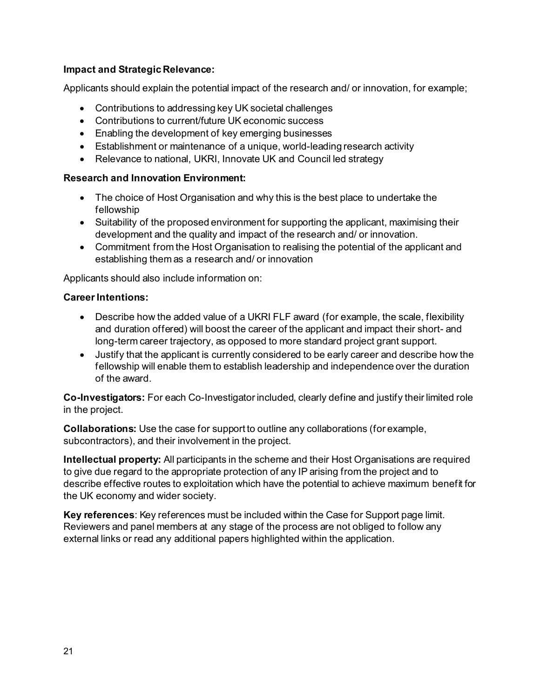## **Impact and Strategic Relevance:**

Applicants should explain the potential impact of the research and/ or innovation, for example;

- Contributions to addressing key UK societal challenges
- Contributions to current/future UK economic success
- Enabling the development of key emerging businesses
- Establishment or maintenance of a unique, world-leading research activity
- Relevance to national, UKRI, Innovate UK and Council led strategy

# **Research and Innovation Environment:**

- The choice of Host Organisation and why this is the best place to undertake the fellowship
- Suitability of the proposed environment for supporting the applicant, maximising their development and the quality and impact of the research and/ or innovation.
- Commitment from the Host Organisation to realising the potential of the applicant and establishing them as a research and/ or innovation

Applicants should also include information on:

# **Career Intentions:**

- Describe how the added value of a UKRI FLF award (for example, the scale, flexibility and duration offered) will boost the career of the applicant and impact their short- and long-term career trajectory, as opposed to more standard project grant support.
- Justify that the applicant is currently considered to be early career and describe how the fellowship will enable them to establish leadership and independence over the duration of the award.

**Co-Investigators:** For each Co-Investigator included, clearly define and justify their limited role in the project.

**Collaborations:** Use the case for support to outline any collaborations (for example, subcontractors), and their involvement in the project.

**Intellectual property:** All participants in the scheme and their Host Organisations are required to give due regard to the appropriate protection of any IP arising from the project and to describe effective routes to exploitation which have the potential to achieve maximum benefit for the UK economy and wider society.

**Key references**: Key references must be included within the Case for Support page limit. Reviewers and panel members at any stage of the process are not obliged to follow any external links or read any additional papers highlighted within the application.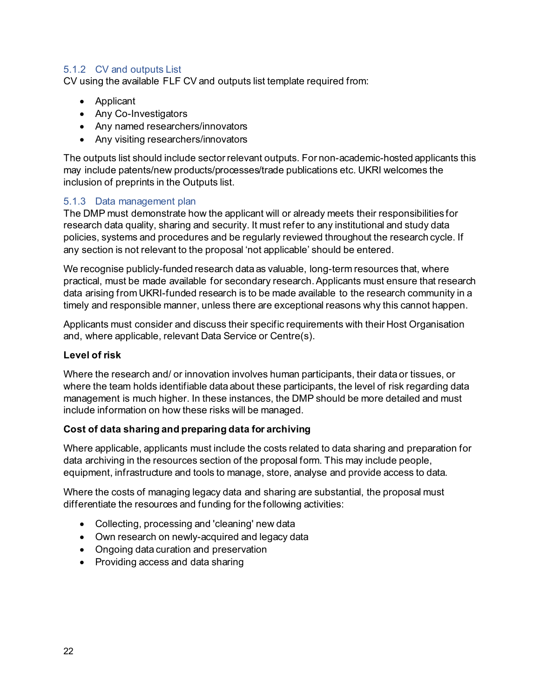# <span id="page-25-0"></span>5.1.2 CV and outputs List

CV using the available FLF CV and outputs list template required from:

- Applicant
- Any Co-Investigators
- Any named researchers/innovators
- Any visiting researchers/innovators

The outputs list should include sector relevant outputs. For non-academic-hosted applicants this may include patents/new products/processes/trade publications etc. UKRI welcomes the inclusion of preprints in the Outputs list.

# <span id="page-25-1"></span>5.1.3 Data management plan

The DMP must demonstrate how the applicant will or already meets their responsibilities for research data quality, sharing and security. It must refer to any institutional and study data policies, systems and procedures and be regularly reviewed throughout the research cycle. If any section is not relevant to the proposal 'not applicable' should be entered.

We recognise publicly-funded research data as valuable, long-term resources that, where practical, must be made available for secondary research. Applicants must ensure that research data arising from UKRI-funded research is to be made available to the research community in a timely and responsible manner, unless there are exceptional reasons why this cannot happen.

Applicants must consider and discuss their specific requirements with their Host Organisation and, where applicable, relevant Data Service or Centre(s).

# **Level of risk**

Where the research and/ or innovation involves human participants, their data or tissues, or where the team holds identifiable data about these participants, the level of risk regarding data management is much higher. In these instances, the DMP should be more detailed and must include information on how these risks will be managed.

# **Cost of data sharing and preparing data for archiving**

Where applicable, applicants must include the costs related to data sharing and preparation for data archiving in the resources section of the proposal form. This may include people, equipment, infrastructure and tools to manage, store, analyse and provide access to data.

Where the costs of managing legacy data and sharing are substantial, the proposal must differentiate the resources and funding for the following activities:

- Collecting, processing and 'cleaning' new data
- Own research on newly-acquired and legacy data
- Ongoing data curation and preservation
- Providing access and data sharing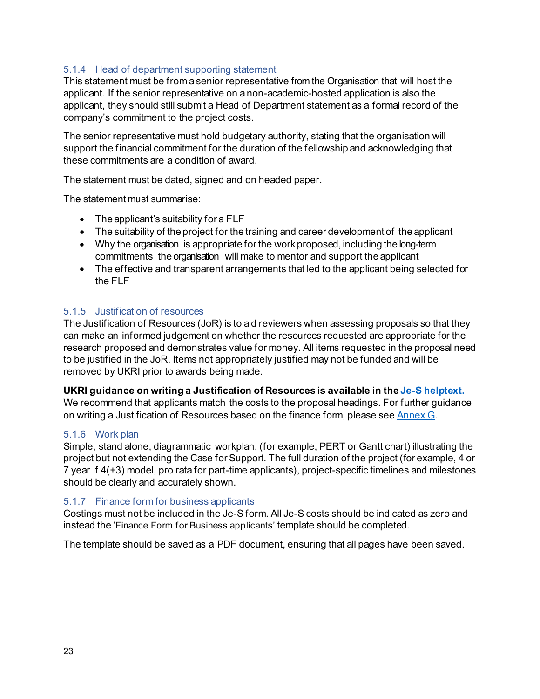# <span id="page-26-0"></span>5.1.4 Head of department supporting statement

This statement must be from a senior representative from the Organisation that will host the applicant. If the senior representative on a non-academic-hosted application is also the applicant, they should still submit a Head of Department statement as a formal record of the company's commitment to the project costs.

The senior representative must hold budgetary authority, stating that the organisation will support the financial commitment for the duration of the fellowship and acknowledging that these commitments are a condition of award.

The statement must be dated, signed and on headed paper.

The statement must summarise:

- The applicant's suitability for a FLF
- The suitability of the project for the training and career development of the applicant
- Why the organisation is appropriate for the work proposed, including the long-term commitments the organisation will make to mentor and support the applicant
- The effective and transparent arrangements that led to the applicant being selected for the FLF

# <span id="page-26-1"></span>5.1.5 Justification of resources

The Justification of Resources (JoR) is to aid reviewers when assessing proposals so that they can make an informed judgement on whether the resources requested are appropriate for the research proposed and demonstrates value for money. All items requested in the proposal need to be justified in the JoR. Items not appropriately justified may not be funded and will be removed by UKRI prior to awards being made.

#### **UKRI guidance on writing a Justification of Resources is available in th[e Je-S helptext.](https://je-s.rcuk.ac.uk/handbook/pages/GuidanceoncompletingaFellowshi/AccompanyingDocumentation/JustificationofResourcesCrossC.htm?rhsearch=justification%20of%20resources&rhhlterm=justification%20justifications%20resources%20resource)**

We recommend that applicants match the costs to the proposal headings. For further guidance on writing a Justification of Resources based on the finance form, please see Annex G.

#### <span id="page-26-2"></span>5.1.6 Work plan

Simple, stand alone, diagrammatic workplan, (for example, PERT or Gantt chart) illustrating the project but not extending the Case for Support. The full duration of the project (for example, 4 or 7 year if 4(+3) model, pro rata for part-time applicants), project-specific timelines and milestones should be clearly and accurately shown.

#### <span id="page-26-3"></span>5.1.7 Finance form for business applicants

Costings must not be included in the Je-S form. All Je-S costs should be indicated as zero and instead the 'Finance Form for Business applicants' template should be completed.

The template should be saved as a PDF document, ensuring that all pages have been saved.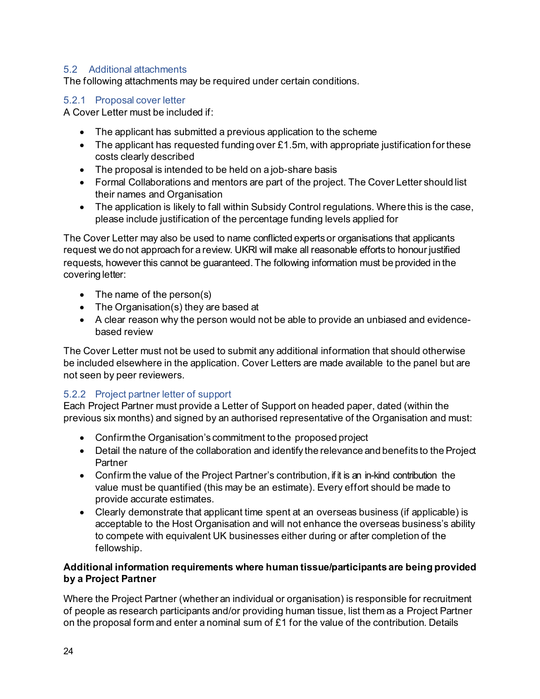# <span id="page-27-0"></span>5.2 Additional attachments

The following attachments may be required under certain conditions.

#### <span id="page-27-1"></span>5.2.1 Proposal cover letter

A Cover Letter must be included if:

- The applicant has submitted a previous application to the scheme
- The applicant has requested funding over £1.5m, with appropriate justification for these costs clearly described
- The proposal is intended to be held on a job-share basis
- Formal Collaborations and mentors are part of the project. The Cover Letter should list their names and Organisation
- The application is likely to fall within Subsidy Control regulations. Where this is the case, please include justification of the percentage funding levels applied for

The Cover Letter may also be used to name conflicted experts or organisations that applicants request we do not approach for a review. UKRI will make all reasonable efforts to honour justified requests, howeverthis cannot be guaranteed. The following information must be provided in the covering letter:

- The name of the person(s)
- The Organisation(s) they are based at
- A clear reason why the person would not be able to provide an unbiased and evidencebased review

The Cover Letter must not be used to submit any additional information that should otherwise be included elsewhere in the application. Cover Letters are made available to the panel but are not seen by peer reviewers.

# <span id="page-27-2"></span>5.2.2 Project partner letter of support

Each Project Partner must provide a Letter of Support on headed paper, dated (within the previous six months) and signed by an authorised representative of the Organisation and must:

- Confirmthe Organisation's commitment to the proposed project
- Detail the nature of the collaboration and identify the relevance and benefits to the Project **Partner**
- Confirm the value of the Project Partner's contribution, if it is an in-kind contribution the value must be quantified (this may be an estimate). Every effort should be made to provide accurate estimates.
- Clearly demonstrate that applicant time spent at an overseas business (if applicable) is acceptable to the Host Organisation and will not enhance the overseas business's ability to compete with equivalent UK businesses either during or after completion of the fellowship.

# **Additional information requirements where human tissue/participants are being provided by a Project Partner**

Where the Project Partner (whether an individual or organisation) is responsible for recruitment of people as research participants and/or providing human tissue, list them as a Project Partner on the proposal form and enter a nominal sum of  $£1$  for the value of the contribution. Details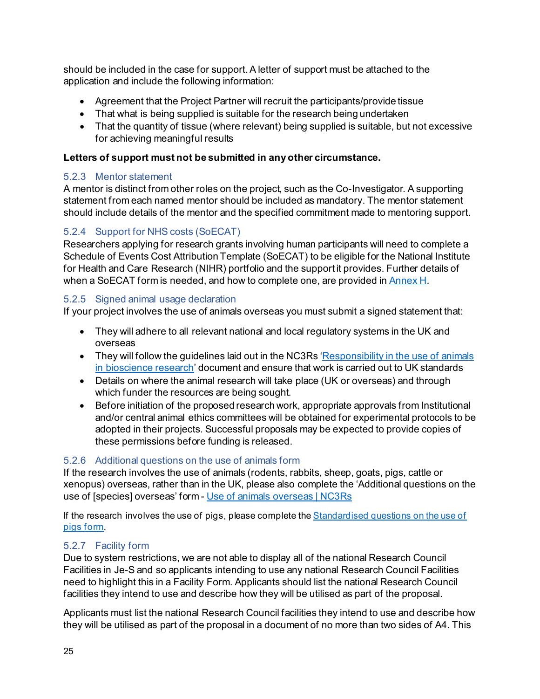should be included in the case for support. A letter of support must be attached to the application and include the following information:

- Agreement that the Project Partner will recruit the participants/provide tissue
- That what is being supplied is suitable for the research being undertaken
- That the quantity of tissue (where relevant) being supplied is suitable, but not excessive for achieving meaningful results

# **Letters of support must not be submitted in any other circumstance.**

# <span id="page-28-0"></span>5.2.3 Mentor statement

A mentor is distinct from other roles on the project, such as the Co-Investigator. A supporting statement from each named mentor should be included as mandatory. The mentor statement should include details of the mentor and the specified commitment made to mentoring support.

# <span id="page-28-1"></span>5.2.4 Support for NHS costs (SoECAT)

Researchers applying for research grants involving human participants will need to complete a Schedule of Events Cost Attribution Template (SoECAT) to be eligible for the National Institute for Health and Care Research (NIHR) portfolio and the support it provides. Further details of when a SoECAT form is needed, and how to complete one, are provided in  $\Delta$ nnex H.

# <span id="page-28-2"></span>5.2.5 Signed animal usage declaration

If your project involves the use of animals overseas you must submit a signed statement that:

- They will adhere to all relevant national and local regulatory systems in the UK and overseas
- They will follow the guidelines laid out in the NC3Rs 'Responsibility in the use of animals [in bioscience research](https://www.nc3rs.org.uk/3rs-resources/responsibility-use-animals-bioscience-research)' document and ensure that work is carried out to UK standards
- Details on where the animal research will take place (UK or overseas) and through which funder the resources are being sought.
- Before initiation of the proposed research work, appropriate approvals from Institutional and/or central animal ethics committees will be obtained for experimental protocols to be adopted in their projects. Successful proposals may be expected to provide copies of these permissions before funding is released.

# <span id="page-28-3"></span>5.2.6 Additional questions on the use of animals form

If the research involves the use of animals (rodents, rabbits, sheep, goats, pigs, cattle or xenopus) overseas, rather than in the UK, please also complete the 'Additional questions on the use of [species] overseas' form - [Use of animals overseas | NC3Rs](https://www.nc3rs.org.uk/3rs-resources/peer-review-and-advice-service)

If the research involves the use of pigs, please complete th[e Standardised questions on the use of](https://www.nc3rs.org.uk/3rs-resources/peer-review-and-advice-service) pigs [form](https://www.nc3rs.org.uk/3rs-resources/peer-review-and-advice-service).

# <span id="page-28-4"></span>5.2.7 Facility form

Due to system restrictions, we are not able to display all of the national Research Council Facilities in Je-S and so applicants intending to use any national Research Council Facilities need to highlight this in a Facility Form. Applicants should list the national Research Council facilities they intend to use and describe how they will be utilised as part of the proposal.

Applicants must list the national Research Council facilities they intend to use and describe how they will be utilised as part of the proposal in a document of no more than two sides of A4. This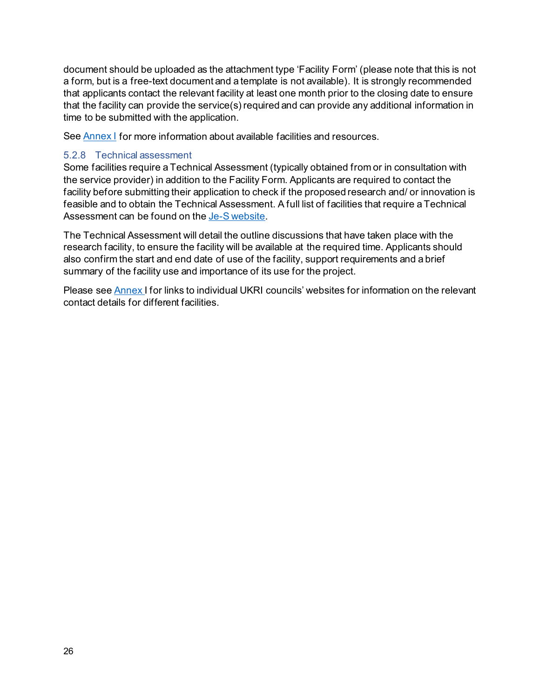document should be uploaded as the attachment type 'Facility Form' (please note that this is not a form, but is a free-text document and a template is not available). It is strongly recommended that applicants contact the relevant facility at least one month prior to the closing date to ensure that the facility can provide the service(s) required and can provide any additional information in time to be submitted with the application.

See Annex I for more information about available facilities and resources.

# <span id="page-29-0"></span>5.2.8 Technical assessment

Some facilities require a Technical Assessment (typically obtained from or in consultation with the service provider) in addition to the Facility Form. Applicants are required to contact the facility before submitting their application to check if the proposed research and/ or innovation is feasible and to obtain the Technical Assessment. A full list of facilities that require a Technical Assessment can be found on th[e Je-S website](https://je-s.rcuk.ac.uk/Handbook/index.htm?#rhsearch=facilities&t=pages%2FGuidanceoncompletingaFellowshi%2FFacilities.htm&ux=search).

The Technical Assessment will detail the outline discussions that have taken place with the research facility, to ensure the facility will be available at the required time. Applicants should also confirm the start and end date of use of the facility, support requirements and a brief summary of the facility use and importance of its use for the project.

Please see Annex I for links to individual UKRI councils' websites for information on the relevant contact details for different facilities.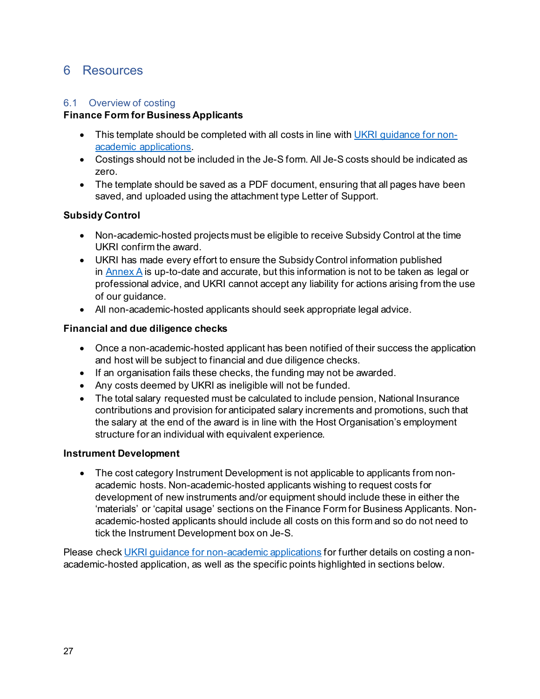# <span id="page-30-0"></span>6 Resources

# <span id="page-30-1"></span>6.1 Overview of costing

#### **[Finance Form for Business](https://www.ukri.org/publications/ukri-flf-renewal-guidance-for-applicants-and-templates-nov-2021/) Applicants**

- This template should be completed with all costs in line with UKRI [guidance](https://www.ukri.org/councils/innovate-uk/guidance-for-applicants/costs-we-fund/costs-guidance-for-non-academic-organisations/) for non[academic applications.](https://www.ukri.org/councils/innovate-uk/guidance-for-applicants/costs-we-fund/costs-guidance-for-non-academic-organisations/)
- Costings should not be included in the Je-S form. All Je-S costs should be indicated as zero.
- The template should be saved as a PDF document, ensuring that all pages have been saved, and uploaded using the attachment type Letter of Support.

# **Subsidy Control**

- Non-academic-hosted projects must be eligible to receive Subsidy Control at the time UKRI confirm the award.
- UKRI has made every effort to ensure the Subsidy Control information published in Annex A is up-to-date and accurate, but this information is not to be taken as legal or professional advice, and UKRI cannot accept any liability for actions arising from the use of our guidance.
- All non-academic-hosted applicants should seek appropriate legal advice.

# **Financial and due diligence checks**

- Once a non-academic-hosted applicant has been notified of their success the application and host will be subject to financial and due diligence checks.
- If an organisation fails these checks, the funding may not be awarded.
- Any costs deemed by UKRI as ineligible will not be funded.
- The total salary requested must be calculated to include pension, National Insurance contributions and provision for anticipated salary increments and promotions, such that the salary at the end of the award is in line with the Host Organisation's employment structure for an individual with equivalent experience.

#### **Instrument Development**

• The cost category Instrument Development is not applicable to applicants from nonacademic hosts. Non-academic-hosted applicants wishing to request costs for development of new instruments and/or equipment should include these in either the 'materials' or 'capital usage' sections on the Finance Form for Business Applicants. Nonacademic-hosted applicants should include all costs on this form and so do not need to tick the Instrument Development box on Je-S.

Please chec[k UKRI guidance for non-academic applications](https://www.ukri.org/councils/innovate-uk/guidance-for-applicants/costs-we-fund/costs-guidance-for-non-academic-organisations/) for further details on costing a nonacademic-hosted application, as well as the specific points highlighted in sections below.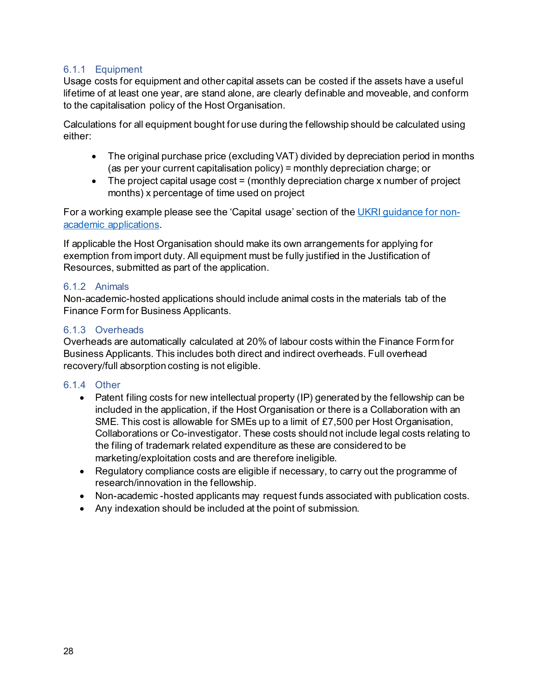# <span id="page-31-0"></span>6.1.1 Equipment

Usage costs for equipment and other capital assets can be costed if the assets have a useful lifetime of at least one year, are stand alone, are clearly definable and moveable, and conform to the capitalisation policy of the Host Organisation.

Calculations for all equipment bought for use during the fellowship should be calculated using either:

- The original purchase price (excluding VAT) divided by depreciation period in months (as per your current capitalisation policy) = monthly depreciation charge; or
- The project capital usage cost = (monthly depreciation charge x number of project months) x percentage of time used on project

For a working example please see the 'Capital usage' section of th[e UKRI guidance for non](https://www.ukri.org/councils/innovate-uk/guidance-for-applicants/costs-we-fund/costs-guidance-for-non-academic-organisations/)[academic applications.](https://www.ukri.org/councils/innovate-uk/guidance-for-applicants/costs-we-fund/costs-guidance-for-non-academic-organisations/)

If applicable the Host Organisation should make its own arrangements for applying for exemption from import duty. All equipment must be fully justified in the Justification of Resources, submitted as part of the application.

# <span id="page-31-1"></span>6.1.2 Animals

Non-academic-hosted applications should include animal costs in the materials tab of the Finance Form for Business Applicants.

# <span id="page-31-2"></span>6.1.3 Overheads

Overheads are automatically calculated at 20% of labour costs within the Finance Form for Business Applicants. This includes both direct and indirect overheads. Full overhead recovery/full absorption costing is not eligible.

#### <span id="page-31-3"></span>6.1.4 Other

- Patent filing costs for new intellectual property (IP) generated by the fellowship can be included in the application, if the Host Organisation or there is a Collaboration with an SME. This cost is allowable for SMEs up to a limit of £7,500 per Host Organisation, Collaborations or Co-investigator. These costs should not include legal costs relating to the filing of trademark related expenditure as these are considered to be marketing/exploitation costs and are therefore ineligible.
- Regulatory compliance costs are eligible if necessary, to carry out the programme of research/innovation in the fellowship.
- Non-academic -hosted applicants may request funds associated with publication costs.
- Any indexation should be included at the point of submission.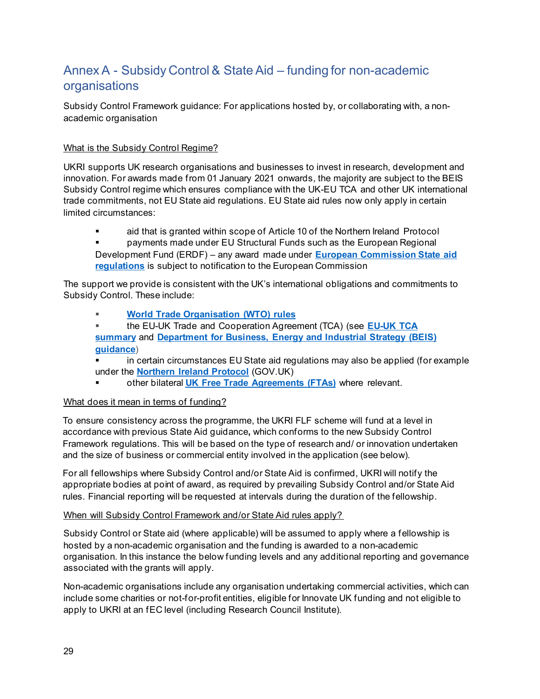# <span id="page-32-0"></span>Annex A - Subsidy Control & State Aid – funding for non-academic organisations

Subsidy Control Framework guidance: For applications hosted by, or collaborating with, a nonacademic organisation

#### What is the Subsidy Control Regime?

UKRI supports UK research organisations and businesses to invest in research, development and innovation. For awards made from 01 January 2021 onwards, the majority are subject to the BEIS Subsidy Control regime which ensures compliance with the UK-EU TCA and other UK international trade commitments, not EU State aid regulations. EU State aid rules now only apply in certain limited circumstances:

aid that is granted within scope of Article 10 of the Northern Ireland Protocol

 payments made under EU Structural Funds such as the European Regional Development Fund (ERDF) – any award made under **[European Commission State aid](http://ec.europa.eu/competition/state_aid/overview/index_en.html) [regulations](http://ec.europa.eu/competition/state_aid/overview/index_en.html)** is subject to notification to the European Commission

The support we provide is consistent with the UK's international obligations and commitments to Subsidy Control. These include:

- **[World Trade Organisation \(WTO\) rules](https://www.gov.uk/guidance/trading-under-wto-rules)**
- the EU-UK Trade and Cooperation Agreement (TCA) (see **[EU-UK TCA](https://ec.europa.eu/info/relations-united-kingdom/eu-uk-trade-and-cooperation-agreement_en)  [summary](https://ec.europa.eu/info/relations-united-kingdom/eu-uk-trade-and-cooperation-agreement_en)** and **[Department for Business, Energy and Industrial Strategy \(BEIS\)](https://www.gov.uk/government/publications/complying-with-the-uks-international-obligations-on-subsidy-control-guidance-for-public-authorities/summary-guide-to-awarding-subsidies-from-1-january-2021)  [guidance](https://www.gov.uk/government/publications/complying-with-the-uks-international-obligations-on-subsidy-control-guidance-for-public-authorities/summary-guide-to-awarding-subsidies-from-1-january-2021)**)
- in certain circumstances EU State aid regulations may also be applied (for example under the **[Northern Ireland Protocol](https://www.gov.uk/government/publications/complying-with-the-uks-international-obligations-on-subsidy-control-guidance-for-public-authorities)** (GOV.UK)
- other bilateral **[UK Free Trade Agreements \(FTAs\)](https://www.gov.uk/government/collections/the-uks-trade-agreements)** where relevant.

#### What does it mean in terms of funding?

To ensure consistency across the programme, the UKRI FLF scheme will fund at a level in accordance with previous State Aid guidance**,** which conforms to the new Subsidy Control Framework regulations. This will be based on the type of research and/ or innovation undertaken and the size of business or commercial entity involved in the application (see below).

For all fellowships where Subsidy Control and/or State Aid is confirmed, UKRI will notify the appropriate bodies at point of award, as required by prevailing Subsidy Control and/or State Aid rules. Financial reporting will be requested at intervals during the duration of the fellowship.

#### When will Subsidy Control Framework and/or State Aid rules apply?

Subsidy Control or State aid (where applicable) will be assumed to apply where a fellowship is hosted by a non-academic organisation and the funding is awarded to a non-academic organisation. In this instance the below funding levels and any additional reporting and governance associated with the grants will apply.

Non-academic organisations include any organisation undertaking commercial activities, which can include some charities or not-for-profit entities, eligible for Innovate UK funding and not eligible to apply to UKRI at an fEC level (including Research Council Institute).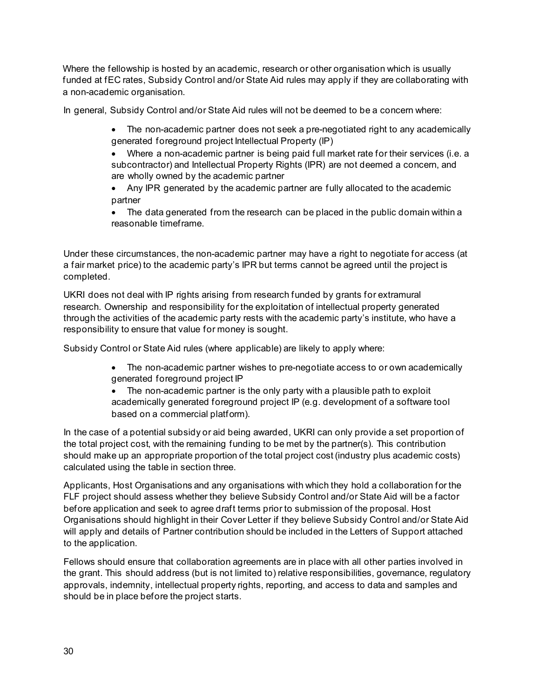Where the fellowship is hosted by an academic, research or other organisation which is usually funded at fEC rates, Subsidy Control and/or State Aid rules may apply if they are collaborating with a non-academic organisation.

In general, Subsidy Control and/or State Aid rules will not be deemed to be a concern where:

• The non-academic partner does not seek a pre-negotiated right to any academically generated foreground project Intellectual Property (IP)

• Where a non-academic partner is being paid full market rate for their services (i.e. a subcontractor) and Intellectual Property Rights (IPR) are not deemed a concern, and are wholly owned by the academic partner

• Any IPR generated by the academic partner are fully allocated to the academic partner

• The data generated from the research can be placed in the public domain within a reasonable timeframe.

Under these circumstances, the non-academic partner may have a right to negotiate for access (at a fair market price) to the academic party's IPR but terms cannot be agreed until the project is completed.

UKRI does not deal with IP rights arising from research funded by grants for extramural research. Ownership and responsibility for the exploitation of intellectual property generated through the activities of the academic party rests with the academic party's institute, who have a responsibility to ensure that value for money is sought.

Subsidy Control or State Aid rules (where applicable) are likely to apply where:

• The non-academic partner wishes to pre-negotiate access to or own academically generated foreground project IP

• The non-academic partner is the only party with a plausible path to exploit academically generated foreground project IP (e.g. development of a software tool based on a commercial platform).

In the case of a potential subsidy or aid being awarded, UKRI can only provide a set proportion of the total project cost, with the remaining funding to be met by the partner(s). This contribution should make up an appropriate proportion of the total project cost (industry plus academic costs) calculated using the table in section three.

Applicants, Host Organisations and any organisations with which they hold a collaboration for the FLF project should assess whether they believe Subsidy Control and/or State Aid will be a factor before application and seek to agree draft terms prior to submission of the proposal. Host Organisations should highlight in their Cover Letter if they believe Subsidy Control and/or State Aid will apply and details of Partner contribution should be included in the Letters of Support attached to the application.

Fellows should ensure that collaboration agreements are in place with all other parties involved in the grant. This should address (but is not limited to) relative responsibilities, governance, regulatory approvals, indemnity, intellectual property rights, reporting, and access to data and samples and should be in place before the project starts.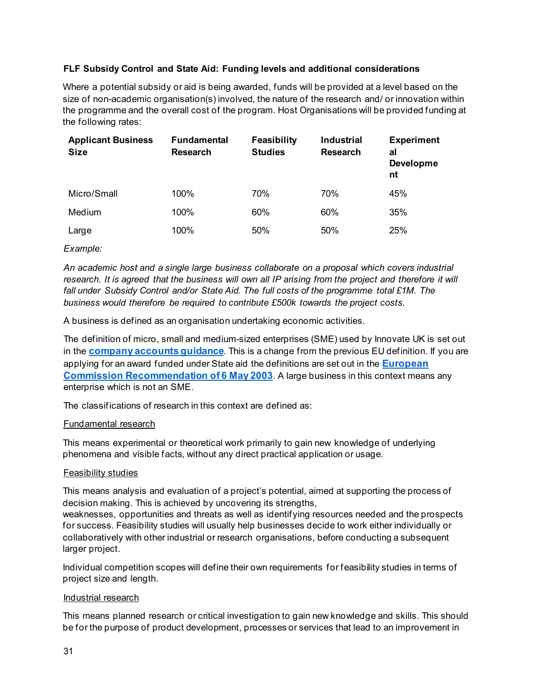#### **FLF Subsidy Control and State Aid: Funding levels and additional considerations**

Where a potential subsidy or aid is being awarded, funds will be provided at a level based on the size of non-academic organisation(s) involved, the nature of the research and/ or innovation within the programme and the overall cost of the program. Host Organisations will be provided funding at the following rates:

| <b>Applicant Business</b><br><b>Size</b> | <b>Fundamental</b><br><b>Research</b> | <b>Feasibility</b><br><b>Studies</b> | <b>Industrial</b><br><b>Research</b> | <b>Experiment</b><br>al<br><b>Developme</b><br>nt |
|------------------------------------------|---------------------------------------|--------------------------------------|--------------------------------------|---------------------------------------------------|
| Micro/Small                              | 100%                                  | 70%                                  | 70%                                  | 45%                                               |
| Medium                                   | 100%                                  | 60%                                  | 60%                                  | 35%                                               |
| Large                                    | 100%                                  | 50%                                  | 50%                                  | 25%                                               |

#### *Example:*

*An academic host and a single large business collaborate on a proposal which covers industrial research. It is agreed that the business will own all IP arising from the project and therefore it will fall under Subsidy Control and/or State Aid. The full costs of the programme total £1M. The business would therefore be required to contribute £500k towards the project costs.*

A business is defined as an organisation undertaking economic activities.

The definition of micro, small and medium-sized enterprises (SME) used by Innovate UK is set out in the **[company accounts guidance](https://www.gov.uk/government/publications/life-of-a-company-annual-requirements/life-of-a-company-part-1-accounts#introduction)**. This is a change from the previous EU definition. If you are applying for an award funded under State aid the definitions are set out in the **[European](https://eur-lex.europa.eu/legal-content/EN/TXT/?uri=CELEX:32003H0361)  [Commission Recommendation of 6 May 2003](https://eur-lex.europa.eu/legal-content/EN/TXT/?uri=CELEX:32003H0361)**. A large business in this context means any enterprise which is not an SME.

The classifications of research in this context are defined as:

#### Fundamental research

This means experimental or theoretical work primarily to gain new knowledge of underlying phenomena and visible facts, without any direct practical application or usage.

#### Feasibility studies

This means analysis and evaluation of a project's potential, aimed at supporting the process of decision making. This is achieved by uncovering its strengths,

weaknesses, opportunities and threats as well as identifying resources needed and the prospects for success. Feasibility studies will usually help businesses decide to work either individually or collaboratively with other industrial or research organisations, before conducting a subsequent larger project.

Individual competition scopes will define their own requirements for feasibility studies in terms of project size and length.

#### Industrial research

This means planned research or critical investigation to gain new knowledge and skills. This should be for the purpose of product development, processes or services that lead to an improvement in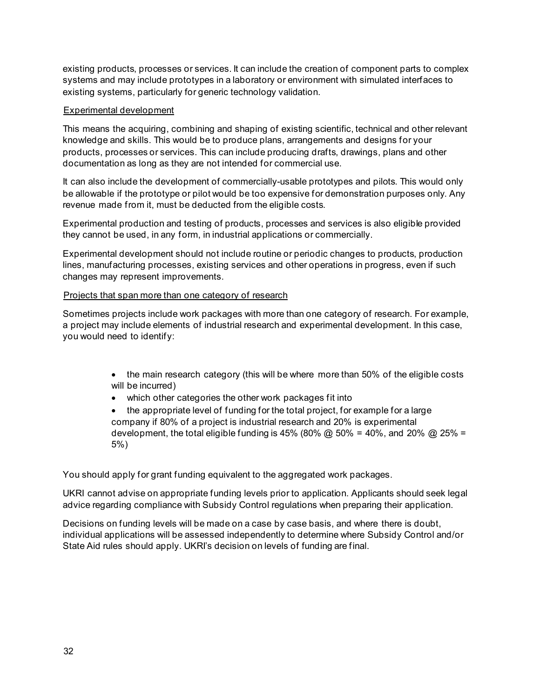existing products, processes or services. It can include the creation of component parts to complex systems and may include prototypes in a laboratory or environment with simulated interfaces to existing systems, particularly for generic technology validation.

#### Experimental development

This means the acquiring, combining and shaping of existing scientific, technical and other relevant knowledge and skills. This would be to produce plans, arrangements and designs for your products, processes or services. This can include producing drafts, drawings, plans and other documentation as long as they are not intended for commercial use.

It can also include the development of commercially-usable prototypes and pilots. This would only be allowable if the prototype or pilot would be too expensive for demonstration purposes only. Any revenue made from it, must be deducted from the eligible costs.

Experimental production and testing of products, processes and services is also eligible provided they cannot be used, in any form, in industrial applications or commercially.

Experimental development should not include routine or periodic changes to products, production lines, manufacturing processes, existing services and other operations in progress, even if such changes may represent improvements.

#### Projects that span more than one category of research

Sometimes projects include work packages with more than one category of research. For example, a project may include elements of industrial research and experimental development. In this case, you would need to identify:

- the main research category (this will be where more than 50% of the eligible costs will be incurred)
- which other categories the other work packages fit into

• the appropriate level of funding for the total project, for example for a large company if 80% of a project is industrial research and 20% is experimental development, the total eligible funding is 45% (80%  $\omega$  50% = 40%, and 20%  $\omega$  25% = 5%)

You should apply for grant funding equivalent to the aggregated work packages.

UKRI cannot advise on appropriate funding levels prior to application. Applicants should seek legal advice regarding compliance with Subsidy Control regulations when preparing their application.

Decisions on funding levels will be made on a case by case basis, and where there is doubt, individual applications will be assessed independently to determine where Subsidy Control and/or State Aid rules should apply. UKRI's decision on levels of funding are final.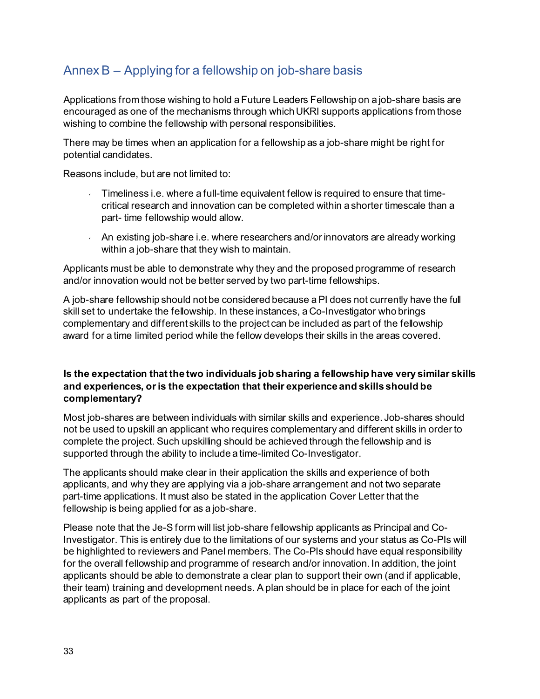# <span id="page-36-0"></span>Annex B – Applying for a fellowship on job-share basis

Applications from those wishing to hold a Future Leaders Fellowship on a job-share basis are encouraged as one of the mechanisms through which UKRI supports applications from those wishing to combine the fellowship with personal responsibilities.

There may be times when an application for a fellowship as a job-share might be right for potential candidates.

Reasons include, but are not limited to:

- $\sim$  Timeliness i.e. where a full-time equivalent fellow is required to ensure that timecritical research and innovation can be completed within a shorter timescale than a part- time fellowship would allow.
- $\sim$  An existing job-share i.e. where researchers and/or innovators are already working within a job-share that they wish to maintain.

Applicants must be able to demonstrate why they and the proposed programme of research and/or innovation would not be better served by two part-time fellowships.

A job-share fellowship should not be considered because aPI does not currently have the full skill set to undertake the fellowship. In these instances, a Co-Investigator who brings complementary and different skills to the project can be included as part of the fellowship award for a time limited period while the fellow develops their skills in the areas covered.

## **Is the expectation that the two individuals job sharing a fellowship have very similar skills and experiences, oris the expectation that their experience and skills should be complementary?**

Most job-shares are between individuals with similar skills and experience. Job-shares should not be used to upskill an applicant who requires complementary and different skills in order to complete the project. Such upskilling should be achieved through the fellowship and is supported through the ability to include a time-limited Co-Investigator.

The applicants should make clear in their application the skills and experience of both applicants, and why they are applying via a job-share arrangement and not two separate part-time applications. It must also be stated in the application Cover Letter that the fellowship is being applied for as a job-share.

Please note that the Je-S form will list job-share fellowship applicants as Principal and Co-Investigator. This is entirely due to the limitations of our systems and your status as Co-PIs will be highlighted to reviewers and Panel members. The Co-PIs should have equal responsibility for the overall fellowship and programme of research and/or innovation. In addition, the joint applicants should be able to demonstrate a clear plan to support their own (and if applicable, their team) training and development needs. A plan should be in place for each of the joint applicants as part of the proposal.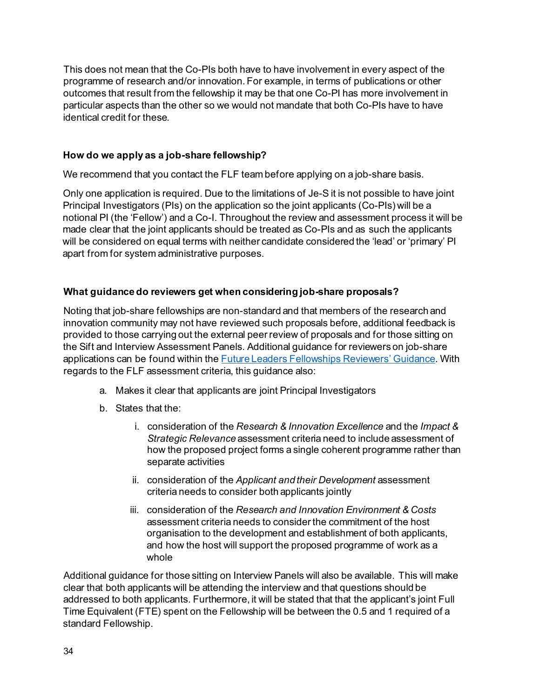This does not mean that the Co-PIs both have to have involvement in every aspect of the programme of research and/or innovation.For example, in terms of publications or other outcomes that result from the fellowship it may be that one Co-PI has more involvement in particular aspects than the other so we would not mandate that both Co-PIs have to have identical credit for these.

# **How do we apply as a job-share fellowship?**

We recommend that you contact the FLF team before applying on a job-share basis.

Only one application is required. Due to the limitations of Je-S it is not possible to have joint Principal Investigators (PIs) on the application so the joint applicants (Co-PIs) will be a notional PI (the 'Fellow') and a Co-I. Throughout the review and assessment process it will be made clear that the joint applicants should be treated as Co-PIs and as such the applicants will be considered on equal terms with neither candidate considered the 'lead' or 'primary' PI apart from for system administrative purposes.

# **What guidance do reviewers get when considering job-share proposals?**

Noting that job-share fellowships are non-standard and that members of the research and innovation community may not have reviewed such proposals before, additional feedback is provided to those carrying out the external peer review of proposals and for those sitting on the Sift and Interview Assessment Panels. Additional guidance for reviewers on job-share applications can be found within th[e Future Leaders Fellowships Reviewers'](https://www.ukri.org/what-we-offer/developing-people-and-skills/future-leaders-fellowships/future-leaders-fellowships-guidance/expert-review/) Guidance. With regards to the FLF assessment criteria, this guidance also:

- a. Makes it clear that applicants are joint Principal Investigators
- b. States that the:
	- i. consideration of the *Research & Innovation Excellence* and the *Impact & Strategic Relevance* assessment criteria need to include assessment of how the proposed project forms a single coherent programme rather than separate activities
	- ii. consideration of the *Applicant and their Development* assessment criteria needs to consider both applicants jointly
	- iii. consideration of the *Research and Innovation Environment & Costs*  assessment criteria needs to consider the commitment of the host organisation to the development and establishment of both applicants, and how the host will support the proposed programme of work as a whole

Additional guidance for those sitting on Interview Panels will also be available. This will make clear that both applicants will be attending the interview and that questions should be addressed to both applicants. Furthermore, it will be stated that that the applicant's joint Full Time Equivalent (FTE) spent on the Fellowship will be between the 0.5 and 1 required of a standard Fellowship.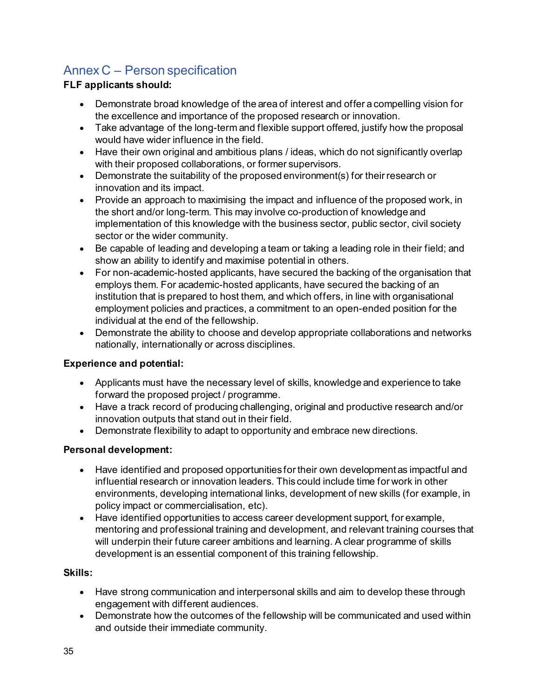# <span id="page-38-0"></span>Annex C – Person specification

# **FLF applicants should:**

- Demonstrate broad knowledge of the area of interest and offer a compelling vision for the excellence and importance of the proposed research or innovation.
- Take advantage of the long-term and flexible support offered, justify how the proposal would have wider influence in the field.
- Have their own original and ambitious plans / ideas, which do not significantly overlap with their proposed collaborations, or former supervisors.
- Demonstrate the suitability of the proposed environment(s) for their research or innovation and its impact.
- Provide an approach to maximising the impact and influence of the proposed work, in the short and/or long-term. This may involve co-production of knowledge and implementation of this knowledge with the business sector, public sector, civil society sector or the wider community.
- Be capable of leading and developing a team or taking a leading role in their field; and show an ability to identify and maximise potential in others.
- For non-academic-hosted applicants, have secured the backing of the organisation that employs them. For academic-hosted applicants, have secured the backing of an institution that is prepared to host them, and which offers, in line with organisational employment policies and practices, a commitment to an open-ended position for the individual at the end of the fellowship.
- Demonstrate the ability to choose and develop appropriate collaborations and networks nationally, internationally or across disciplines.

# **Experience and potential:**

- Applicants must have the necessary level of skills, knowledge and experience to take forward the proposed project / programme.
- Have a track record of producing challenging, original and productive research and/or innovation outputs that stand out in their field.
- Demonstrate flexibility to adapt to opportunity and embrace new directions.

# **Personal development:**

- Have identified and proposed opportunities for their own development as impactful and influential research or innovation leaders. This could include time for work in other environments, developing international links, development of new skills (for example, in policy impact or commercialisation, etc).
- Have identified opportunities to access career development support, for example, mentoring and professional training and development, and relevant training courses that will underpin their future career ambitions and learning. A clear programme of skills development is an essential component of this training fellowship.

# **Skills:**

- Have strong communication and interpersonal skills and aim to develop these through engagement with different audiences.
- Demonstrate how the outcomes of the fellowship will be communicated and used within and outside their immediate community.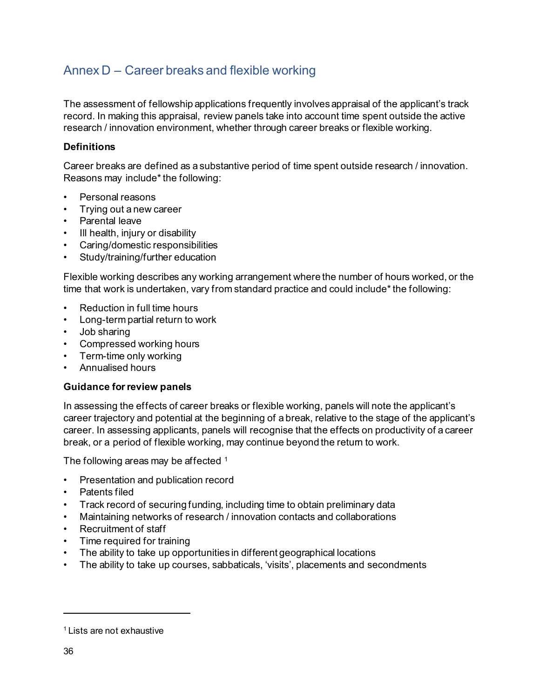# <span id="page-39-0"></span>Annex D – Career breaks and flexible working

The assessment of fellowship applications frequently involves appraisal of the applicant's track record. In making this appraisal, review panels take into account time spent outside the active research / innovation environment, whether through career breaks or flexible working.

# **Definitions**

Career breaks are defined as a substantive period of time spent outside research / innovation. Reasons may include\* the following:

- Personal reasons
- Trying out a new career
- Parental leave
- Ill health, injury or disability
- Caring/domestic responsibilities
- Study/training/further education

Flexible working describes any working arrangement where the number of hours worked, or the time that work is undertaken, vary from standard practice and could include\* the following:

- Reduction in full time hours
- Long-term partial return to work
- Job sharing
- Compressed working hours
- Term-time only working
- Annualised hours

#### **Guidance for review panels**

In assessing the effects of career breaks or flexible working, panels will note the applicant's career trajectory and potential at the beginning of a break, relative to the stage of the applicant's career. In assessing applicants, panels will recognise that the effects on productivity of a career break, or a period of flexible working, may continue beyond the return to work.

The following areas may be affected <sup>1</sup>

- Presentation and publication record
- Patents filed
- Track record of securing funding, including time to obtain preliminary data
- Maintaining networks of research / innovation contacts and collaborations
- Recruitment of staff
- Time required for training
- The ability to take up opportunities in different geographical locations
- The ability to take up courses, sabbaticals, 'visits', placements and secondments

<span id="page-39-1"></span> $<sup>1</sup>$  Lists are not exhaustive</sup>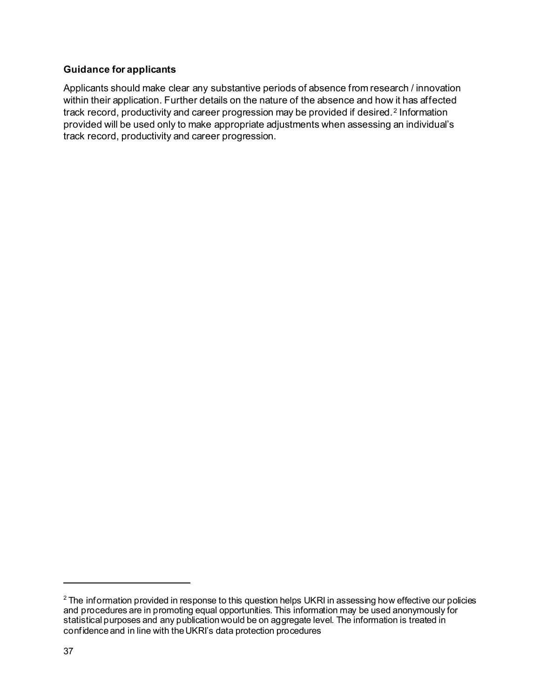# **Guidance for applicants**

Applicants should make clear any substantive periods of absence from research / innovation within their application. Further details on the nature of the absence and how it has affected track record, productivity and career progression may be provided if desired. [2](#page-40-0) Information provided will be used only to make appropriate adjustments when assessing an individual's track record, productivity and career progression.

<span id="page-40-0"></span> $2$  The information provided in response to this question helps UKRI in assessing how effective our policies and procedures are in promoting equal opportunities. This information may be used anonymously for statistical purposes and any publication would be on aggregate level. The information is treated in confidence and in line with the UKRI's data protection procedures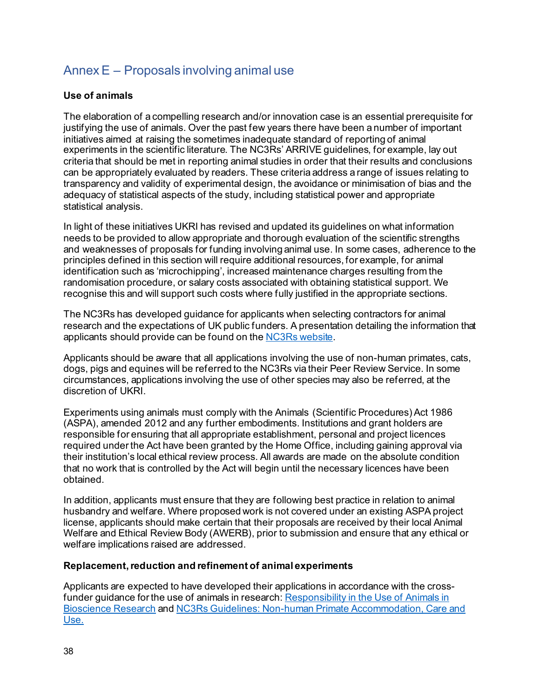# <span id="page-41-0"></span>Annex E – Proposals involving animal use

# **Use of animals**

The elaboration of a compelling research and/or innovation case is an essential prerequisite for justifying the use of animals. Over the past few years there have been a number of important initiatives aimed at raising the sometimes inadequate standard of reporting of animal experiments in the scientific literature. The [NC3Rs' ARRIVE guidelines,](https://www.mrc.ac.uk/links/nc3rs-arrive-guidelines/) for example, lay out criteria that should be met in reporting animal studies in order that their results and conclusions can be appropriately evaluated by readers. These criteria address a range of issues relating to transparency and validity of experimental design, the avoidance or minimisation of bias and the adequacy of statistical aspects of the study, including statistical power and appropriate statistical analysis.

In light of these initiatives UKRI [has revised and updated its guidelines](https://www.mrc.ac.uk/links/updated-rcuk-guidance-for-funding-applications-involving-animal-research/) on what information needs to be provided to allow appropriate and thorough evaluation of the scientific strengths and weaknesses of proposals for funding involving animal use. In some cases, adherence to the principles defined in this section will require additional resources, for example, for animal identification such as 'microchipping', increased maintenance charges resulting from the randomisation procedure, or salary costs associated with obtaining statistical support. We recognise this and will support such costs where fully justified in the appropriate sections.

The NC3Rs has developed guidance for applicants when selecting contractors for animal research and the expectations of UK public funders. A presentation detailing the information that applicants should provide can be found on th[e NC3Rs website.](https://www.nc3rs.org.uk/news/choosing-contractors-animal-research)

Applicants should be aware that all applications involving the use of non-human primates, cats, dogs, pigs and equines will be referred to the NC3Rs via their Peer Review Service. In some circumstances, applications involving the use of other species may also be referred, at the discretion of UKRI.

Experiments using animals must comply with the Animals (Scientific Procedures) Act 1986 (ASPA), amended 2012 and any further embodiments. Institutions and grant holders are responsible for ensuring that all appropriate establishment, personal and project licences required under the Act have been granted by the Home Office, including gaining approval via their institution's local ethical review process. All awards are made on the absolute condition that no work that is controlled by the Act will begin until the necessary licences have been obtained.

In addition, applicants must ensure that they are following best practice in relation to animal husbandry and welfare. Where proposed work is not covered under an existing ASPA project license, applicants should make certain that their proposals are received by their local Animal Welfare and Ethical Review Body (AWERB), prior to submission and ensure that any ethical or welfare implications raised are addressed.

#### **Replacement, reduction and refinement of animal experiments**

Applicants are expected to have developed their applications in accordance with the crossfunder guidance for the use of animals in research: Responsibility in the Use of Animals in [Bioscience Research](https://www.nc3rs.org.uk/sites/default/files/Responsibility%20in%20the%20use%20of%20animals%20in%20bioscience%20research%20-%20July%202015.pdf) and [NC3Rs Guidelines: Non-human Primate Accommodation, Care and](https://www.nc3rs.org.uk/non-human-primate-accommodation-care-and-use)  [Use.](https://www.nc3rs.org.uk/non-human-primate-accommodation-care-and-use)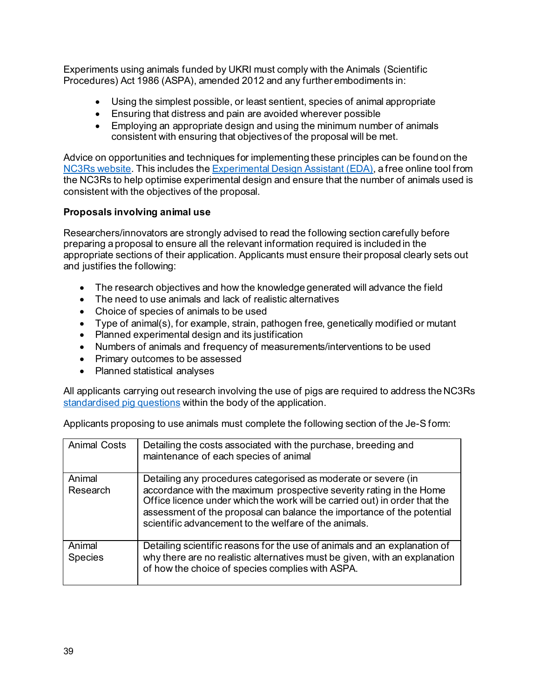Experiments using animals funded by UKRI must comply with the Animals (Scientific Procedures) Act 1986 (ASPA), amended 2012 and any further embodiments in:

- Using the simplest possible, or least sentient, species of animal appropriate
- Ensuring that distress and pain are avoided wherever possible
- Employing an appropriate design and using the minimum number of animals consistent with ensuring that objectives of the proposal will be met.

Advice on opportunities and techniques for implementing these principles can be found on the [NC3Rs website.](https://www.nc3rs.org.uk/) This includes th[e Experimental Design Assistant \(EDA\),](https://www.nc3rs.org.uk/experimental-design-assistant-eda) a free online tool from the NC3Rs to help optimise experimental design and ensure that the number of animals used is consistent with the objectives of the proposal.

# **Proposals involving animal use**

Researchers/innovators are strongly advised to read the following section carefully before preparing a proposal to ensure all the relevant information required is included in the appropriate sections of their application. Applicants must ensure their proposal clearly sets out and justifies the following:

- The research objectives and how the knowledge generated will advance the field
- The need to use animals and lack of realistic alternatives
- Choice of species of animals to be used
- Type of animal(s), for example, strain, pathogen free, genetically modified or mutant
- Planned experimental design and its justification
- Numbers of animals and frequency of measurements/interventions to be used
- Primary outcomes to be assessed
- Planned statistical analyses

All applicants carrying out research involving the use of pigs are required to address the NC3Rs [standardised pig questions](https://bbsrc.ukri.org/documents/standardised-questions-on-the-use-of-pigs) within the body of the application.

Applicants proposing to use animals must complete the following section of the Je-S form:

| <b>Animal Costs</b>      | Detailing the costs associated with the purchase, breeding and<br>maintenance of each species of animal                                                                                                                                                                                                                                                |
|--------------------------|--------------------------------------------------------------------------------------------------------------------------------------------------------------------------------------------------------------------------------------------------------------------------------------------------------------------------------------------------------|
| Animal<br>Research       | Detailing any procedures categorised as moderate or severe (in<br>accordance with the maximum prospective severity rating in the Home<br>Office licence under which the work will be carried out) in order that the<br>assessment of the proposal can balance the importance of the potential<br>scientific advancement to the welfare of the animals. |
| Animal<br><b>Species</b> | Detailing scientific reasons for the use of animals and an explanation of<br>why there are no realistic alternatives must be given, with an explanation<br>of how the choice of species complies with ASPA.                                                                                                                                            |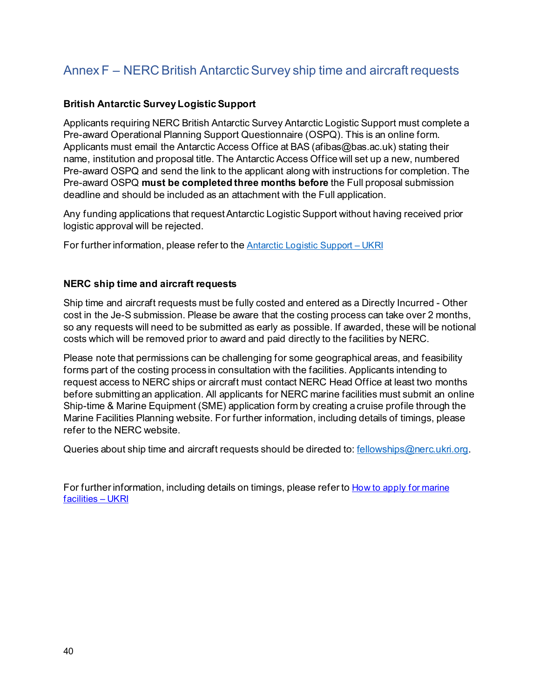# <span id="page-43-0"></span>Annex F – NERC British Antarctic Survey ship time and aircraft requests

# **British Antarctic Survey Logistic Support**

Applicants requiring NERC British Antarctic Survey Antarctic Logistic Support must complete a Pre-award Operational Planning Support Questionnaire (OSPQ). This is an online form. Applicants must email the Antarctic Access Office at BAS (afibas@bas.ac.uk) stating their name, institution and proposal title. The Antarctic Access Office will set up a new, numbered Pre-award OSPQ and send the link to the applicant along with instructions for completion. The Pre-award OSPQ **must be completed three months before** the Full proposal submission deadline and should be included as an attachment with the Full application.

Any funding applications that request Antarctic Logistic Support without having received prior logistic approval will be rejected.

For further information, please refer to th[e Antarctic Logistic Support –](https://www.ukri.org/councils/nerc/guidance-for-applicants/types-of-funding-we-offer/antarctic-logistic-support/) UKRI

#### **NERC ship time and aircraft requests**

Ship time and aircraft requests must be fully costed and entered as a Directly Incurred - Other cost in the Je-S submission. Please be aware that the costing process can take over 2 months, so any requests will need to be submitted as early as possible. If awarded, these will be notional costs which will be removed prior to award and paid directly to the facilities by NERC.

Please note that permissions can be challenging for some geographical areas, and feasibility forms part of the costing process in consultation with the facilities. Applicants intending to request access to NERC ships or aircraft must contact NERC Head Office at least two months before submitting an application. All applicants for NERC marine facilities must submit an online Ship-time & Marine Equipment (SME) application form by creating a cruise profile through the Marine Facilities Planning website. For further information, including details of timings, please refer to the NERC website.

Queries about ship time and aircraft requests should be directed to[: fellowships@nerc.ukri.org](mailto:fellowships@nerc.ukri.org).

For further information, including details on timings, please refer t[o How to apply for marine](https://www.ukri.org/councils/nerc/facilities-and-resources/find-a-nerc-facility-or-resource/how-to-apply-for-marine-facilities/)  [facilities –](https://www.ukri.org/councils/nerc/facilities-and-resources/find-a-nerc-facility-or-resource/how-to-apply-for-marine-facilities/) UKRI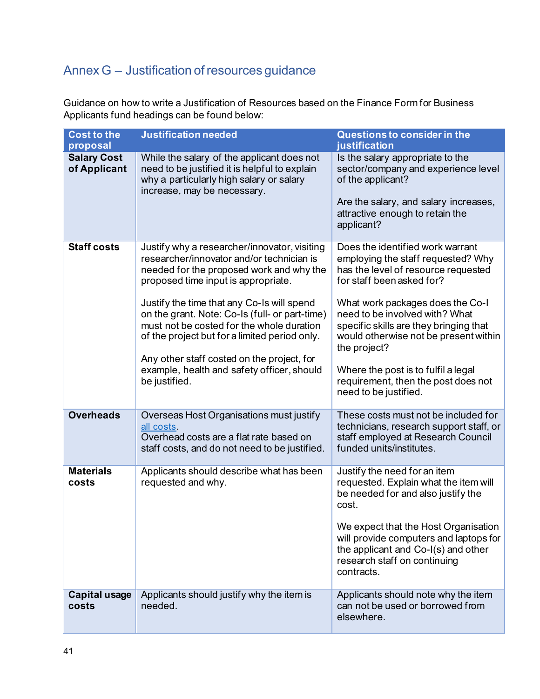# <span id="page-44-0"></span>Annex G – Justification of resources guidance

Guidance on how to write a Justification of Resources based on the Finance Form for Business Applicants fund headings can be found below:

| <b>Cost to the</b><br>proposal     | <b>Justification needed</b>                                                                                                                                                                                                                                                                                                                                                                                                                                                             | Questions to consider in the<br>justification                                                                                                                                                                                                                                                                                                                                                                              |
|------------------------------------|-----------------------------------------------------------------------------------------------------------------------------------------------------------------------------------------------------------------------------------------------------------------------------------------------------------------------------------------------------------------------------------------------------------------------------------------------------------------------------------------|----------------------------------------------------------------------------------------------------------------------------------------------------------------------------------------------------------------------------------------------------------------------------------------------------------------------------------------------------------------------------------------------------------------------------|
| <b>Salary Cost</b><br>of Applicant | While the salary of the applicant does not<br>need to be justified it is helpful to explain<br>why a particularly high salary or salary<br>increase, may be necessary.                                                                                                                                                                                                                                                                                                                  | Is the salary appropriate to the<br>sector/company and experience level<br>of the applicant?<br>Are the salary, and salary increases,<br>attractive enough to retain the<br>applicant?                                                                                                                                                                                                                                     |
| <b>Staff costs</b>                 | Justify why a researcher/innovator, visiting<br>researcher/innovator and/or technician is<br>needed for the proposed work and why the<br>proposed time input is appropriate.<br>Justify the time that any Co-Is will spend<br>on the grant. Note: Co-Is (full- or part-time)<br>must not be costed for the whole duration<br>of the project but for a limited period only.<br>Any other staff costed on the project, for<br>example, health and safety officer, should<br>be justified. | Does the identified work warrant<br>employing the staff requested? Why<br>has the level of resource requested<br>for staff been asked for?<br>What work packages does the Co-I<br>need to be involved with? What<br>specific skills are they bringing that<br>would otherwise not be present within<br>the project?<br>Where the post is to fulfil a legal<br>requirement, then the post does not<br>need to be justified. |
| <b>Overheads</b>                   | Overseas Host Organisations must justify<br>all costs.<br>Overhead costs are a flat rate based on<br>staff costs, and do not need to be justified.                                                                                                                                                                                                                                                                                                                                      | These costs must not be included for<br>technicians, research support staff, or<br>staff employed at Research Council<br>funded units/institutes.                                                                                                                                                                                                                                                                          |
| <b>Materials</b><br>costs          | Applicants should describe what has been<br>requested and why.                                                                                                                                                                                                                                                                                                                                                                                                                          | Justify the need for an item<br>requested. Explain what the item will<br>be needed for and also justify the<br>cost.<br>We expect that the Host Organisation<br>will provide computers and laptops for<br>the applicant and Co-I(s) and other<br>research staff on continuing<br>contracts.                                                                                                                                |
| <b>Capital usage</b><br>costs      | Applicants should justify why the item is<br>needed.                                                                                                                                                                                                                                                                                                                                                                                                                                    | Applicants should note why the item<br>can not be used or borrowed from<br>elsewhere.                                                                                                                                                                                                                                                                                                                                      |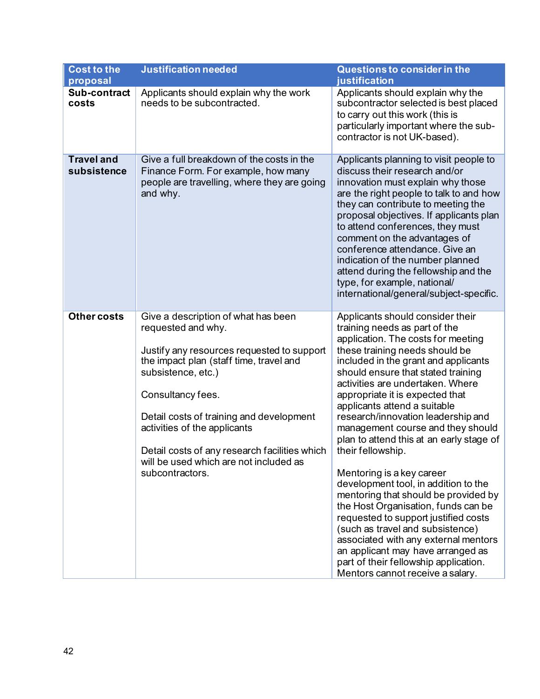| <b>Cost to the</b><br>proposal   | <b>Justification needed</b>                                                                                                                                                                                                                                                                                                                                                             | Questions to consider in the<br>justification                                                                                                                                                                                                                                                                                                                                                                                                                                                                                                                                                                                                                                                                                                                                                                                                                        |
|----------------------------------|-----------------------------------------------------------------------------------------------------------------------------------------------------------------------------------------------------------------------------------------------------------------------------------------------------------------------------------------------------------------------------------------|----------------------------------------------------------------------------------------------------------------------------------------------------------------------------------------------------------------------------------------------------------------------------------------------------------------------------------------------------------------------------------------------------------------------------------------------------------------------------------------------------------------------------------------------------------------------------------------------------------------------------------------------------------------------------------------------------------------------------------------------------------------------------------------------------------------------------------------------------------------------|
| Sub-contract<br>costs            | Applicants should explain why the work<br>needs to be subcontracted.                                                                                                                                                                                                                                                                                                                    | Applicants should explain why the<br>subcontractor selected is best placed<br>to carry out this work (this is<br>particularly important where the sub-<br>contractor is not UK-based).                                                                                                                                                                                                                                                                                                                                                                                                                                                                                                                                                                                                                                                                               |
| <b>Travel and</b><br>subsistence | Give a full breakdown of the costs in the<br>Finance Form. For example, how many<br>people are travelling, where they are going<br>and why.                                                                                                                                                                                                                                             | Applicants planning to visit people to<br>discuss their research and/or<br>innovation must explain why those<br>are the right people to talk to and how<br>they can contribute to meeting the<br>proposal objectives. If applicants plan<br>to attend conferences, they must<br>comment on the advantages of<br>conference attendance. Give an<br>indication of the number planned<br>attend during the fellowship and the<br>type, for example, national/<br>international/general/subject-specific.                                                                                                                                                                                                                                                                                                                                                                |
| <b>Other costs</b>               | Give a description of what has been<br>requested and why.<br>Justify any resources requested to support<br>the impact plan (staff time, travel and<br>subsistence, etc.)<br>Consultancy fees.<br>Detail costs of training and development<br>activities of the applicants<br>Detail costs of any research facilities which<br>will be used which are not included as<br>subcontractors. | Applicants should consider their<br>training needs as part of the<br>application. The costs for meeting<br>these training needs should be<br>included in the grant and applicants<br>should ensure that stated training<br>activities are undertaken. Where<br>appropriate it is expected that<br>applicants attend a suitable<br>research/innovation leadership and<br>management course and they should<br>plan to attend this at an early stage of<br>their fellowship.<br>Mentoring is a key career<br>development tool, in addition to the<br>mentoring that should be provided by<br>the Host Organisation, funds can be<br>requested to support justified costs<br>(such as travel and subsistence)<br>associated with any external mentors<br>an applicant may have arranged as<br>part of their fellowship application.<br>Mentors cannot receive a salary. |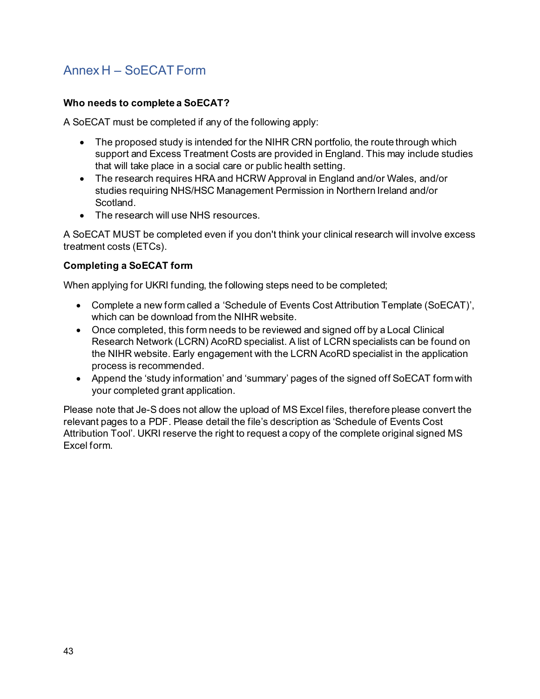# <span id="page-46-0"></span>Annex H – SoECAT Form

# **Who needs to complete a SoECAT?**

A SoECAT must be completed if any of the following apply:

- The proposed study is intended for the NIHR CRN portfolio, the route through which support and Excess Treatment Costs are provided in England. This may include studies that will take place in a social care or public health setting.
- The research requires HRA and HCRW Approval in England and/or Wales, and/or studies requiring NHS/HSC Management Permission in Northern Ireland and/or **Scotland**
- The research will use NHS resources.

A SoECAT MUST be completed even if you don't think your clinical research will involve excess treatment costs (ETCs).

# **Completing a SoECAT form**

When applying for UKRI funding, the following steps need to be completed;

- Complete a new form called a 'Schedule of Events Cost Attribution Template (SoECAT)', which can be download from the [NIHR website.](https://www.nihr.ac.uk/researchers/collaborations-services-and-support-for-your-research/run-your-study/excess-treatment-costs.htm)
- Once completed, this form needs to be reviewed and signed off by a Local Clinical Research Network (LCRN) AcoRD specialist. A list of LCRN specialists can be found on the [NIHR website.](https://www.nihr.ac.uk/researchers/collaborations-services-and-support-for-your-research/run-your-study/excess-treatment-costs.htm) Early engagement with the LCRN AcoRD specialist in the application process is recommended.
- Append the 'study information' and 'summary' pages of the signed off SoECAT form with your completed grant application.

Please note that Je-S does not allow the upload of MS Excel files, therefore please convert the relevant pages to a PDF. Please detail the file's description as 'Schedule of Events Cost Attribution Tool'. UKRI reserve the right to request a copy of the complete original signed MS Excel form.